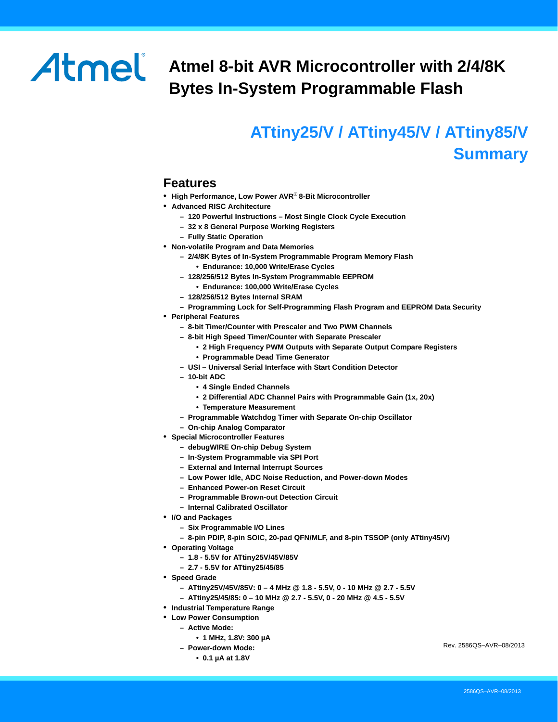# Atmel

# **Atmel 8-bit AVR Microcontroller with 2/4/8K Bytes In-System Programmable Flash**

# **ATtiny25/V / ATtiny45/V / ATtiny85/V Summary**

### <span id="page-0-0"></span>**Features**

- **High Performance, Low Power AVR**® **8-Bit Microcontroller**
- **Advanced RISC Architecture**
	- **120 Powerful Instructions Most Single Clock Cycle Execution**
	- **32 x 8 General Purpose Working Registers**
	- **Fully Static Operation**
- **Non-volatile Program and Data Memories**
	- **2/4/8K Bytes of In-System Programmable Program Memory Flash**
	- **Endurance: 10,000 Write/Erase Cycles**
	- **128/256/512 Bytes In-System Programmable EEPROM**
		- **Endurance: 100,000 Write/Erase Cycles**
	- **128/256/512 Bytes Internal SRAM**
	- **Programming Lock for Self-Programming Flash Program and EEPROM Data Security**
- **Peripheral Features**
	- **8-bit Timer/Counter with Prescaler and Two PWM Channels**
	- **8-bit High Speed Timer/Counter with Separate Prescaler**
		- **2 High Frequency PWM Outputs with Separate Output Compare Registers**
		- **Programmable Dead Time Generator**
	- **USI Universal Serial Interface with Start Condition Detector**
	- **10-bit ADC**
		- **4 Single Ended Channels**
		- **2 Differential ADC Channel Pairs with Programmable Gain (1x, 20x)**
		- **Temperature Measurement**
	- **Programmable Watchdog Timer with Separate On-chip Oscillator**
	- **On-chip Analog Comparator**
- **Special Microcontroller Features**
	- **debugWIRE On-chip Debug System**
	- **In-System Programmable via SPI Port**
	- **External and Internal Interrupt Sources**
	- **Low Power Idle, ADC Noise Reduction, and Power-down Modes**
	- **Enhanced Power-on Reset Circuit**
	- **Programmable Brown-out Detection Circuit**
	- **Internal Calibrated Oscillator**
- **I/O and Packages**
	- **Six Programmable I/O Lines**
	- **8-pin PDIP, 8-pin SOIC, 20-pad QFN/MLF, and 8-pin TSSOP (only ATtiny45/V)**
- **Operating Voltage**
	- **1.8 5.5V for ATtiny25V/45V/85V**
	- **2.7 5.5V for ATtiny25/45/85**
- **Speed Grade**
	- **ATtiny25V/45V/85V: 0 4 MHz @ 1.8 5.5V, 0 10 MHz @ 2.7 5.5V**
	- **ATtiny25/45/85: 0 10 MHz @ 2.7 5.5V, 0 20 MHz @ 4.5 5.5V**
- **Industrial Temperature Range**
- <span id="page-0-1"></span>• **Low Power Consumption**
	- **Active Mode:** 
		- **1 MHz, 1.8V: 300 µA**
	- **Power-down Mode:**
		- **0.1 µA at 1.8V**

Rev. 2586QS–AVR–08/2013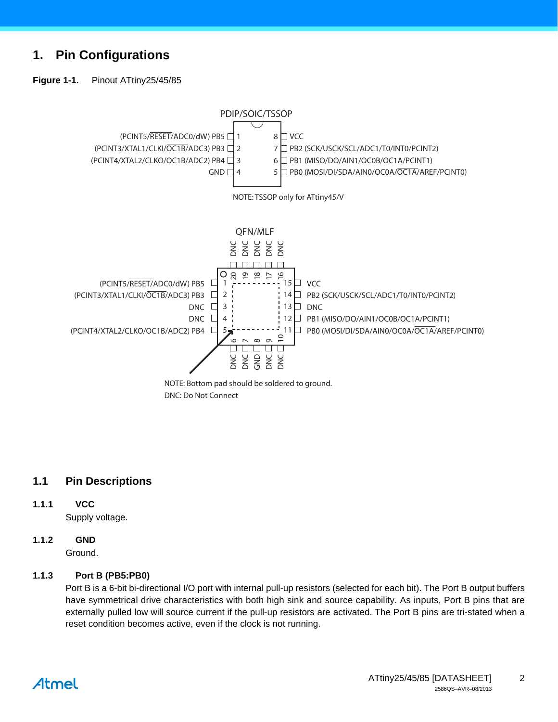### **1. Pin Configurations**

<span id="page-1-0"></span>**Figure 1-1.** Pinout ATtiny25/45/85



DNC: Do Not Connect

#### **1.1 Pin Descriptions**

#### **1.1.1 VCC**

Supply voltage.

#### **1.1.2 GND**

Ground.

#### **1.1.3 Port B (PB5:PB0)**

Port B is a 6-bit bi-directional I/O port with internal pull-up resistors (selected for each bit). The Port B output buffers have symmetrical drive characteristics with both high sink and source capability. As inputs, Port B pins that are externally pulled low will source current if the pull-up resistors are activated. The Port B pins are tri-stated when a reset condition becomes active, even if the clock is not running.

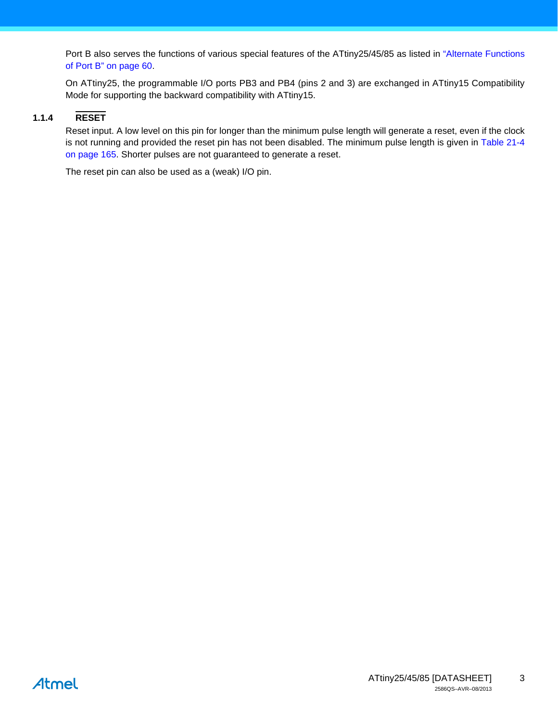Port B also serves the functions of various special features of the ATtiny25/45/85 as listed in "Alternate Functions of Port B" on page 60.

On ATtiny25, the programmable I/O ports PB3 and PB4 (pins 2 and 3) are exchanged in ATtiny15 Compatibility Mode for supporting the backward compatibility with ATtiny15.

#### **1.1.4 RESET**

Reset input. A low level on this pin for longer than the minimum pulse length will generate a reset, even if the clock is not running and provided the reset pin has not been disabled. The minimum pulse length is given in Table 21-4 on page 165. Shorter pulses are not guaranteed to generate a reset.

The reset pin can also be used as a (weak) I/O pin.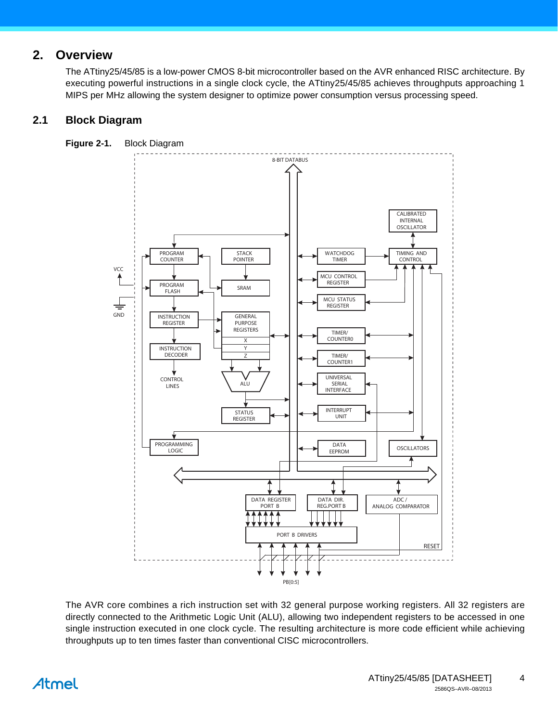### **2. Overview**

The ATtiny25/45/85 is a low-power CMOS 8-bit microcontroller based on the AVR enhanced RISC architecture. By executing powerful instructions in a single clock cycle, the ATtiny25/45/85 achieves throughputs approaching 1 MIPS per MHz allowing the system designer to optimize power consumption versus processing speed.

#### **2.1 Block Diagram**



The AVR core combines a rich instruction set with 32 general purpose working registers. All 32 registers are directly connected to the Arithmetic Logic Unit (ALU), allowing two independent registers to be accessed in one single instruction executed in one clock cycle. The resulting architecture is more code efficient while achieving throughputs up to ten times faster than conventional CISC microcontrollers.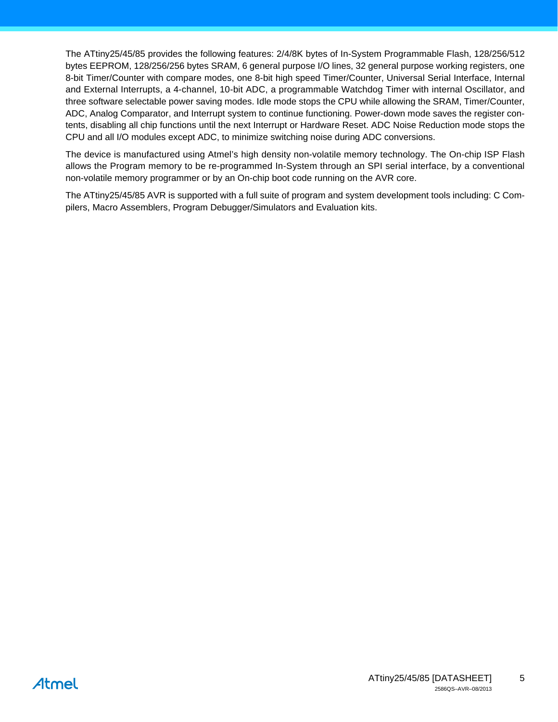The ATtiny25/45/85 provides the following features: 2/4/8K bytes of In-System Programmable Flash, 128/256/512 bytes EEPROM, 128/256/256 bytes SRAM, 6 general purpose I/O lines, 32 general purpose working registers, one 8-bit Timer/Counter with compare modes, one 8-bit high speed Timer/Counter, Universal Serial Interface, Internal and External Interrupts, a 4-channel, 10-bit ADC, a programmable Watchdog Timer with internal Oscillator, and three software selectable power saving modes. Idle mode stops the CPU while allowing the SRAM, Timer/Counter, ADC, Analog Comparator, and Interrupt system to continue functioning. Power-down mode saves the register contents, disabling all chip functions until the next Interrupt or Hardware Reset. ADC Noise Reduction mode stops the CPU and all I/O modules except ADC, to minimize switching noise during ADC conversions.

The device is manufactured using Atmel's high density non-volatile memory technology. The On-chip ISP Flash allows the Program memory to be re-programmed In-System through an SPI serial interface, by a conventional non-volatile memory programmer or by an On-chip boot code running on the AVR core.

The ATtiny25/45/85 AVR is supported with a full suite of program and system development tools including: C Compilers, Macro Assemblers, Program Debugger/Simulators and Evaluation kits.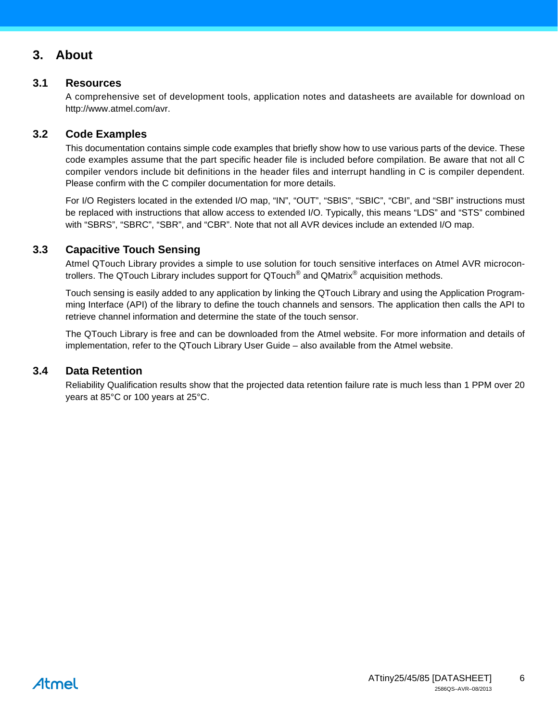### **3. About**

#### **3.1 Resources**

A comprehensive set of development tools, application notes and datasheets are available for download on http://www.atmel.com/avr.

#### **3.2 Code Examples**

This documentation contains simple code examples that briefly show how to use various parts of the device. These code examples assume that the part specific header file is included before compilation. Be aware that not all C compiler vendors include bit definitions in the header files and interrupt handling in C is compiler dependent. Please confirm with the C compiler documentation for more details.

For I/O Registers located in the extended I/O map, "IN", "OUT", "SBIS", "SBIC", "CBI", and "SBI" instructions must be replaced with instructions that allow access to extended I/O. Typically, this means "LDS" and "STS" combined with "SBRS", "SBRC", "SBR", and "CBR". Note that not all AVR devices include an extended I/O map.

#### <span id="page-5-0"></span>**3.3 Capacitive Touch Sensing**

Atmel QTouch Library provides a simple to use solution for touch sensitive interfaces on Atmel AVR microcontrollers. The QTouch Library includes support for QTouch<sup>®</sup> and QMatrix<sup>®</sup> acquisition methods.

Touch sensing is easily added to any application by linking the QTouch Library and using the Application Programming Interface (API) of the library to define the touch channels and sensors. The application then calls the API to retrieve channel information and determine the state of the touch sensor.

The QTouch Library is free and can be downloaded from the Atmel website. For more information and details of implementation, refer to the QTouch Library User Guide – also available from the Atmel website.

#### <span id="page-5-1"></span>**3.4 Data Retention**

Reliability Qualification results show that the projected data retention failure rate is much less than 1 PPM over 20 years at 85°C or 100 years at 25°C.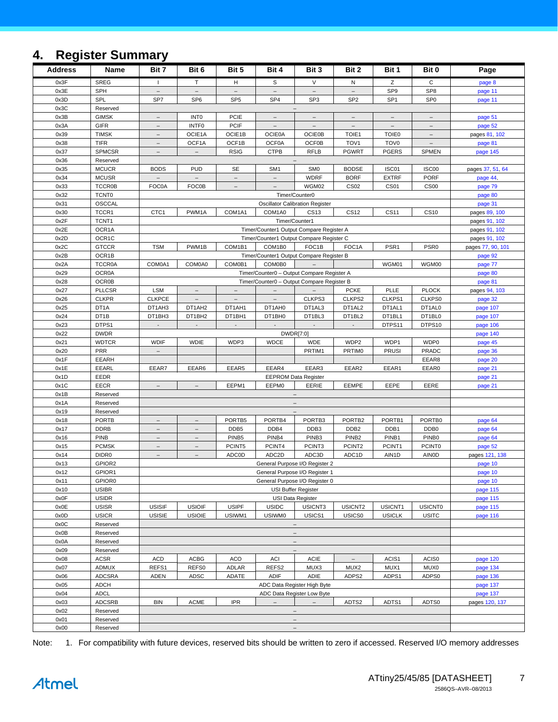# <span id="page-6-0"></span>**4. Register Summary**

| <b>Address</b> | Name                          | Bit 7                    | Bit 6                                                    | Bit 5                                | Bit 4                           | Bit 3                                                | Bit 2                    | Bit 1                    | Bit 0                    | Page               |
|----------------|-------------------------------|--------------------------|----------------------------------------------------------|--------------------------------------|---------------------------------|------------------------------------------------------|--------------------------|--------------------------|--------------------------|--------------------|
| 0x3F           | <b>SREG</b>                   | $\mathbf{I}$             | T                                                        | H                                    | S                               | $\vee$                                               | N                        | z                        | C                        | page 8             |
| 0x3E           | SPH                           | $\qquad \qquad -$        | $\overline{\phantom{a}}$                                 | $\overline{\phantom{a}}$             | $\overline{\phantom{a}}$        | $\equiv$                                             | $\overline{\phantom{m}}$ | SP <sub>9</sub>          | SP <sub>8</sub>          | page 11            |
| 0x3D           | SPL                           | SP7                      | SP <sub>6</sub>                                          | SP <sub>5</sub>                      | SP <sub>4</sub>                 | SP <sub>3</sub>                                      | SP <sub>2</sub>          | SP <sub>1</sub>          | SP <sub>0</sub>          | page 11            |
| 0x3C           | Reserved                      |                          |                                                          |                                      |                                 |                                                      |                          |                          |                          |                    |
| 0x3B           | <b>GIMSK</b>                  | $\qquad \qquad -$        | <b>INTO</b>                                              | <b>PCIE</b>                          |                                 |                                                      |                          |                          |                          | page 51            |
| 0x3A           | <b>GIFR</b>                   | $\overline{\phantom{a}}$ | <b>INTFO</b>                                             | <b>PCIF</b>                          | $\hspace{0.1mm}-\hspace{0.1mm}$ | $\overline{\phantom{a}}$                             | $\overline{\phantom{a}}$ | $\overline{\phantom{a}}$ | $\overline{\phantom{m}}$ | page 52            |
| 0x39           | <b>TIMSK</b>                  | $\overline{\phantom{0}}$ | OCIE1A                                                   | OCIE1B                               | <b>OCIE0A</b>                   | <b>OCIE0B</b>                                        | TOIE1                    | <b>TOIE0</b>             |                          | pages 81, 102      |
| 0x38           | <b>TIFR</b>                   | $\bar{ }$                | OCF1A                                                    | OCF1B                                | <b>OCF0A</b>                    | OCF0B                                                | TOV <sub>1</sub>         | TOV <sub>0</sub>         | $\equiv$                 | page 81            |
| 0x37           | <b>SPMCSR</b>                 | $\overline{\phantom{0}}$ | $\overline{\phantom{m}}$                                 | <b>RSIG</b>                          | <b>CTPB</b>                     | <b>RFLB</b>                                          | <b>PGWRT</b>             | <b>PGERS</b>             | <b>SPMEN</b>             | page 145           |
| 0x36           | Reserved                      |                          |                                                          |                                      |                                 |                                                      |                          |                          |                          |                    |
| 0x35           | <b>MCUCR</b>                  | <b>BODS</b>              | <b>PUD</b>                                               | SE                                   | SM <sub>1</sub>                 | SM <sub>0</sub>                                      | <b>BODSE</b>             | ISC01                    | ISC00                    | pages 37, 51, 64   |
| 0x34           | <b>MCUSR</b>                  | $\overline{\phantom{m}}$ | $\overline{\phantom{m}}$                                 | $\overline{\phantom{m}}$<br>$\equiv$ |                                 | <b>WDRF</b>                                          | <b>BORF</b>              | <b>EXTRF</b>             | <b>PORF</b>              | page 44,           |
| 0x33<br>0x32   | <b>TCCR0B</b><br><b>TCNT0</b> | <b>FOC0A</b>             | <b>FOC0B</b>                                             |                                      |                                 | WGM02                                                | <b>CS02</b>              | <b>CS01</b>              | CS <sub>00</sub>         | page 79            |
| 0x31           | OSCCAL                        |                          | Timer/Counter0<br><b>Oscillator Calibration Register</b> |                                      |                                 | page 80<br>page 31                                   |                          |                          |                          |                    |
| 0x30           | TCCR1                         | CTC1                     | PWM1A                                                    | COM1A1                               | COM1A0                          | <b>CS13</b>                                          | <b>CS12</b>              | <b>CS11</b>              | <b>CS10</b>              | pages 89, 100      |
| 0x2F           | TCNT <sub>1</sub>             |                          |                                                          |                                      |                                 | Timer/Counter1                                       |                          |                          |                          | pages 91, 102      |
| 0x2E           | OCR1A                         |                          |                                                          |                                      |                                 | Timer/Counter1 Output Compare Register A             |                          |                          |                          | pages 91, 102      |
| 0x2D           | OCR1C                         |                          |                                                          |                                      |                                 | Timer/Counter1 Output Compare Register C             |                          |                          |                          | pages 91, 102      |
| 0x2C           | <b>GTCCR</b>                  | <b>TSM</b>               | PWM1B                                                    | COM1B1                               | COM1B0                          | FOC <sub>1</sub> B                                   | FOC1A                    | PSR <sub>1</sub>         | PSR <sub>0</sub>         | pages 77, 90, 101  |
| 0x2B           | OCR1B                         |                          |                                                          |                                      |                                 | Timer/Counter1 Output Compare Register B             |                          |                          |                          | page 92            |
| 0x2A           | <b>TCCR0A</b>                 | COM0A1                   | COM0A0                                                   | COM0B1                               | COM0B0                          |                                                      |                          | WGM01                    | WGM00                    | page 77            |
| 0x29           | <b>OCR0A</b>                  |                          |                                                          |                                      |                                 | Timer/Counter0 - Output Compare Register A           |                          |                          |                          | page 80            |
| 0x28           | <b>OCR0B</b>                  |                          |                                                          |                                      |                                 | Timer/Counter0 - Output Compare Register B           |                          |                          |                          | page 81            |
| 0x27           | <b>PLLCSR</b>                 | <b>LSM</b>               | $\overline{\phantom{m}}$                                 | $\overline{\phantom{m}}$             | $\overline{\phantom{a}}$        | $\overline{\phantom{a}}$                             | <b>PCKE</b>              | PLLE                     | <b>PLOCK</b>             | pages 94, 103      |
| 0x26           | <b>CLKPR</b>                  | <b>CLKPCE</b>            | $\overline{\phantom{a}}$                                 |                                      | $\overline{\phantom{a}}$        | CLKPS3                                               | CLKPS2                   | CLKPS1                   | CLKPS0                   | page 32            |
| 0x25           | DT1A                          | DT1AH3                   | DT1AH2                                                   | DT1AH1                               | DT1AH0                          | DT1AL3                                               | DT1AL2                   | DT1AL1                   | DT1AL0                   | page 107           |
| 0x24           | DT <sub>1</sub> B             | DT1BH3                   | DT1BH2                                                   | DT1BH1                               | DT1BH0                          | DT1BL3                                               | DT1BL2                   | DT1BL1                   | DT1BL0                   | page 107           |
| 0x23           | DTPS1                         | $\blacksquare$           |                                                          |                                      |                                 |                                                      |                          | DTPS11                   | DTPS10                   | page 106           |
| 0x22           | <b>DWDR</b>                   |                          |                                                          |                                      |                                 | DWDR[7:0]                                            |                          |                          |                          | page 140           |
| 0x21           | <b>WDTCR</b>                  | <b>WDIF</b>              | <b>WDIE</b>                                              | WDP3                                 | <b>WDCE</b>                     | <b>WDE</b>                                           | WDP2                     | WDP1                     | WDP0                     | page 45            |
| 0x20           | <b>PRR</b>                    | $\frac{1}{2}$            |                                                          |                                      |                                 | PRTIM1                                               | PRTIM0                   | <b>PRUSI</b>             | <b>PRADC</b>             | page 36            |
| 0x1F           | EEARH                         |                          |                                                          |                                      |                                 |                                                      |                          |                          | EEAR8                    | page 20            |
| 0x1E<br>0x1D   | EEARL<br>EEDR                 | EEAR7                    | EEAR6                                                    | EEAR5                                | EEAR4                           | EEAR3<br><b>EEPROM Data Register</b>                 | EEAR2                    | EEAR1                    | EEAR0                    | page 21<br>page 21 |
| 0x1C           | <b>EECR</b>                   | $\equiv$                 |                                                          | EEPM1                                | EEPM0                           | EERIE                                                | EEMPE                    | EEPE                     | EERE                     | page 21            |
| 0x1B           | Reserved                      |                          |                                                          |                                      |                                 | $\overline{\phantom{m}}$                             |                          |                          |                          |                    |
| 0x1A           | Reserved                      |                          |                                                          |                                      |                                 |                                                      |                          |                          |                          |                    |
| 0x19           | Reserved                      |                          |                                                          |                                      |                                 |                                                      |                          |                          |                          |                    |
| 0x18           | <b>PORTB</b>                  | $\qquad \qquad -$        | $\overline{\phantom{a}}$                                 | PORTB5                               | PORTB4                          | PORTB3                                               | PORTB <sub>2</sub>       | PORTB1                   | PORTB0                   | page 64            |
| 0x17           | <b>DDRB</b>                   |                          |                                                          | DDB <sub>5</sub>                     | DDB4                            | DDB3                                                 | DDB <sub>2</sub>         | DDB1                     | DDB <sub>0</sub>         | page 64            |
| 0x16           | <b>PINB</b>                   | $\overline{\phantom{a}}$ | $\overline{\phantom{m}}$                                 | PINB <sub>5</sub>                    | PINB4                           | PINB <sub>3</sub>                                    | PINB <sub>2</sub>        | PINB1                    | PINB <sub>0</sub>        | page 64            |
| 0x15           | <b>PCMSK</b>                  | $\overline{\phantom{0}}$ |                                                          | PCINT5                               | PCINT4                          | PCINT3                                               | PCINT2                   | PCINT <sub>1</sub>       | PCINT0                   | page 52            |
| 0x14           | DIDR <sub>0</sub>             | $\equiv$                 | $\equiv$                                                 | ADC0D                                | ADC <sub>2</sub> D              | ADC3D                                                | ADC1D                    | AIN1D                    | <b>AINOD</b>             | pages 121, 138     |
| 0x13           | GPIOR2                        |                          |                                                          |                                      |                                 | General Purpose I/O Register 2                       |                          |                          |                          | page 10            |
| 0x12           | GPIOR1                        |                          |                                                          |                                      |                                 | General Purpose I/O Register 1                       |                          |                          |                          | page 10            |
| 0x11           | GPIOR0                        |                          |                                                          |                                      |                                 | General Purpose I/O Register 0                       |                          |                          |                          | page 10            |
| 0x10           | <b>USIBR</b>                  |                          |                                                          |                                      |                                 | USI Buffer Register                                  |                          |                          |                          | page 115           |
| 0x0F           | <b>USIDR</b>                  |                          |                                                          |                                      |                                 | USI Data Register                                    |                          |                          |                          | page 115           |
| 0x0E           | <b>USISR</b>                  | <b>USISIF</b>            | <b>USIOIF</b>                                            | <b>USIPF</b>                         | <b>USIDC</b>                    | USICNT3                                              | USICNT2                  | USICNT1                  | <b>USICNT0</b>           | page 115           |
| 0x0D<br>0x0C   | <b>USICR</b><br>Reserved      | <b>USISIE</b>            | <b>USIOIE</b>                                            | USIWM1                               | <b>USIWM0</b>                   | USICS1                                               | USICS0                   | <b>USICLK</b>            | <b>USITC</b>             | page 116           |
| 0x0B           | Reserved                      |                          |                                                          |                                      |                                 | $\overline{\phantom{a}}$<br>$\overline{\phantom{a}}$ |                          |                          |                          |                    |
| 0x0A           | Reserved                      |                          |                                                          |                                      |                                 | $\overline{\phantom{a}}$                             |                          |                          |                          |                    |
| 0x09           | Reserved                      |                          |                                                          |                                      |                                 | $\overline{\phantom{a}}$                             |                          |                          |                          |                    |
| 0x08           | ACSR                          | <b>ACD</b>               | <b>ACBG</b>                                              | <b>ACO</b>                           | ACI                             | <b>ACIE</b>                                          | $\overline{\phantom{a}}$ | ACIS1                    | ACIS0                    | page 120           |
| 0x07           | ADMUX                         | REFS1                    | REFS0                                                    | ADLAR                                | REFS2                           | MUX3                                                 | MUX2                     | MUX1                     | MUX0                     | page 134           |
| 0x06           | <b>ADCSRA</b>                 | <b>ADEN</b>              | ADSC                                                     | ADATE                                | ADIF                            | ADIE                                                 | ADPS2                    | ADPS1                    | ADPS0                    | page 136           |
| 0x05           | ADCH                          |                          |                                                          |                                      |                                 | ADC Data Register High Byte                          |                          |                          |                          | page 137           |
| 0x04           | <b>ADCL</b>                   |                          |                                                          |                                      |                                 | ADC Data Register Low Byte                           |                          |                          |                          | page 137           |
| 0x03           | <b>ADCSRB</b>                 | <b>BIN</b>               | <b>ACME</b>                                              | <b>IPR</b>                           | $\equiv$                        | $\equiv$                                             | ADTS2                    | ADTS1                    | ADTS0                    | pages 120, 137     |
| 0x02           | Reserved                      |                          |                                                          |                                      |                                 | $\overline{\phantom{a}}$                             |                          |                          |                          |                    |
| 0x01           | Reserved                      |                          |                                                          |                                      |                                 | $\overline{\phantom{a}}$                             |                          |                          |                          |                    |
| 0x00           | Reserved                      |                          |                                                          |                                      |                                 | $\overline{\phantom{a}}$                             |                          |                          |                          |                    |

Note: 1. For compatibility with future devices, reserved bits should be written to zero if accessed. Reserved I/O memory addresses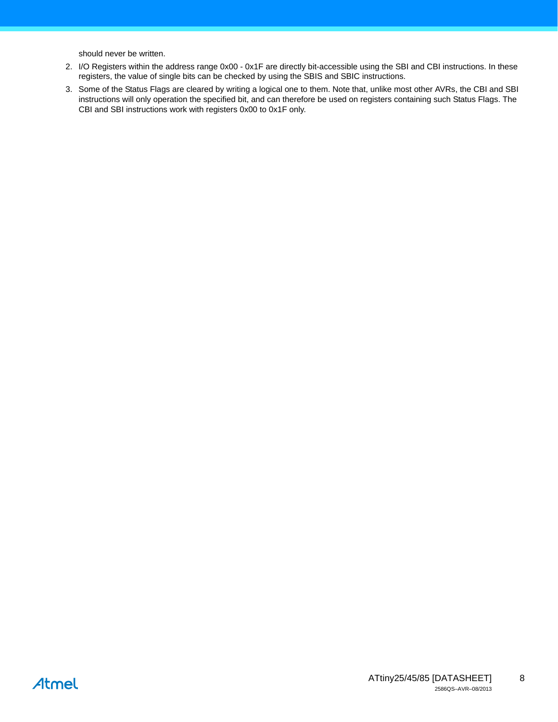should never be written.

- 2. I/O Registers within the address range 0x00 0x1F are directly bit-accessible using the SBI and CBI instructions. In these registers, the value of single bits can be checked by using the SBIS and SBIC instructions.
- 3. Some of the Status Flags are cleared by writing a logical one to them. Note that, unlike most other AVRs, the CBI and SBI instructions will only operation the specified bit, and can therefore be used on registers containing such Status Flags. The CBI and SBI instructions work with registers 0x00 to 0x1F only.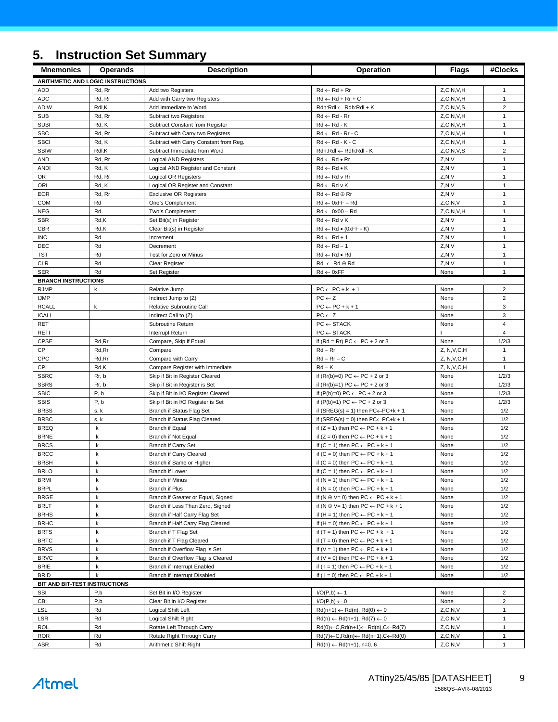# <span id="page-8-0"></span>**5. Instruction Set Summary**

| J.                            |                                   | <u>MISU UCHON OCL OUINNIALY</u>                                   |                                                                                                        |                                |                              |
|-------------------------------|-----------------------------------|-------------------------------------------------------------------|--------------------------------------------------------------------------------------------------------|--------------------------------|------------------------------|
| <b>Mnemonics</b>              | <b>Operands</b>                   | <b>Description</b>                                                | Operation                                                                                              | <b>Flags</b>                   | #Clocks                      |
|                               | ARITHMETIC AND LOGIC INSTRUCTIONS |                                                                   |                                                                                                        |                                |                              |
| <b>ADD</b>                    | Rd, Rr                            | Add two Registers                                                 | $Rd \leftarrow Rd + Rr$                                                                                | Z, C, N, V, H                  | $\mathbf{1}$                 |
| <b>ADC</b>                    | Rd, Rr                            | Add with Carry two Registers                                      | $Rd \leftarrow Rd + Rr + C$                                                                            | Z, C, N, V, H                  | $\mathbf{1}$                 |
| <b>ADIW</b>                   | Rdl,K                             | Add Immediate to Word                                             | $Rdh:Rdl \leftarrow Rdh:Rdl + K$                                                                       | Z, C, N, V, S                  | $\overline{\mathbf{c}}$      |
| <b>SUB</b><br><b>SUBI</b>     | Rd, Rr<br>Rd, K                   | Subtract two Registers<br>Subtract Constant from Register         | $Rd \leftarrow Rd - Rr$<br>$Rd \leftarrow Rd - K$                                                      | Z, C, N, V, H<br>Z, C, N, V, H | $\mathbf{1}$<br>$\mathbf{1}$ |
| <b>SBC</b>                    | Rd, Rr                            | Subtract with Carry two Registers                                 | $Rd \leftarrow Rd - Rr - C$                                                                            | Z, C, N, V, H                  | $\mathbf{1}$                 |
| <b>SBCI</b>                   | Rd, K                             | Subtract with Carry Constant from Reg.                            | $Rd \leftarrow Rd - K - C$                                                                             | Z, C, N, V, H                  | $\mathbf{1}$                 |
| <b>SBIW</b>                   | Rdl,K                             | Subtract Immediate from Word                                      | Rdh:Rdl ← Rdh:Rdl - K                                                                                  | Z, C, N, V, S                  | $\sqrt{2}$                   |
| <b>AND</b>                    | Rd, Rr                            | Logical AND Registers                                             | $Rd \leftarrow Rd \bullet Rr$                                                                          | Z, N, V                        | $\mathbf{1}$                 |
| <b>ANDI</b>                   | Rd, K                             | Logical AND Register and Constant                                 | $Rd \leftarrow Rd \bullet K$                                                                           | Z, N, V                        | $\mathbf{1}$                 |
| OR                            | Rd, Rr                            | Logical OR Registers                                              | $Rd \leftarrow Rd$ v $Rr$                                                                              | Z, N, V                        | 1                            |
| ORI                           | Rd, K                             | Logical OR Register and Constant                                  | $Rd \leftarrow Rd \vee K$                                                                              | Z, N, V                        | $\mathbf{1}$                 |
| <b>EOR</b>                    | Rd, Rr                            | <b>Exclusive OR Registers</b>                                     | $Rd \leftarrow Rd \oplus Rr$                                                                           | Z, N, V                        | $\mathbf{1}$                 |
| <b>COM</b>                    | Rd                                | One's Complement                                                  | $Rd \leftarrow 0xFF - Rd$                                                                              | Z, C, N, V                     | $\mathbf{1}$                 |
| <b>NEG</b>                    | Rd                                | Two's Complement                                                  | $Rd \leftarrow 0x00 - Rd$                                                                              | Z, C, N, V, H                  | $\mathbf{1}$                 |
| <b>SBR</b>                    | Rd,K                              | Set Bit(s) in Register                                            | $Rd \leftarrow Rd \vee K$                                                                              | Z, N, V                        | $\mathbf{1}$                 |
| <b>CBR</b>                    | Rd,K                              | Clear Bit(s) in Register                                          | $Rd \leftarrow Rd \bullet (0xFF - K)$                                                                  | Z, N, V                        | $\mathbf{1}$                 |
| <b>INC</b>                    | Rd                                | Increment                                                         | $Rd \leftarrow Rd + 1$                                                                                 | Z, N, V                        | $\mathbf{1}$                 |
| DEC<br><b>TST</b>             | Rd<br>Rd                          | Decrement<br>Test for Zero or Minus                               | $Rd \leftarrow Rd - 1$<br>$Rd \leftarrow Rd \bullet Rd$                                                | Z, N, V<br>Z, N, V             | $\mathbf{1}$<br>$\mathbf{1}$ |
| CLR                           | Rd                                | Clear Register                                                    | $Rd \leftarrow Rd \oplus Rd$                                                                           | Z, N, V                        | $\mathbf{1}$                 |
| <b>SER</b>                    | Rd                                | Set Register                                                      | $Rd \leftarrow 0xFF$                                                                                   | None                           | $\mathbf{1}$                 |
| <b>BRANCH INSTRUCTIONS</b>    |                                   |                                                                   |                                                                                                        |                                |                              |
| <b>RJMP</b>                   | k                                 | Relative Jump                                                     | $PC \leftarrow PC + k + 1$                                                                             | None                           | $\overline{2}$               |
| <b>IJMP</b>                   |                                   | Indirect Jump to (Z)                                              | $PC \leftarrow Z$                                                                                      | None                           | $\overline{2}$               |
| <b>RCALL</b>                  | k                                 | Relative Subroutine Call                                          | $PC \leftarrow PC + k + 1$                                                                             | None                           | 3                            |
| <b>ICALL</b>                  |                                   | Indirect Call to (Z)                                              | $PC \leftarrow Z$                                                                                      | None                           | 3                            |
| <b>RET</b>                    |                                   | Subroutine Return                                                 | $PC \leftarrow$ STACK                                                                                  | None                           | 4                            |
| RETI                          |                                   | Interrupt Return                                                  | $PC \leftarrow$ STACK                                                                                  |                                | $\overline{4}$               |
| <b>CPSE</b>                   | Rd,Rr                             | Compare, Skip if Equal                                            | if $(Rd = Rr) PC \leftarrow PC + 2$ or 3                                                               | None                           | 1/2/3                        |
| CP                            | Rd, Rr                            | Compare                                                           | $Rd - Rr$                                                                                              | Z, N, V, C, H                  | $\mathbf{1}$                 |
| CPC                           | Rd,Rr                             | Compare with Carry                                                | $Rd - Rr - C$                                                                                          | Z, N, V, C, H                  | $\mathbf{1}$                 |
| CPI                           | Rd,K                              | Compare Register with Immediate                                   | $Rd - K$                                                                                               | Z, N, V, C, H                  | $\mathbf{1}$                 |
| <b>SBRC</b><br><b>SBRS</b>    | Rr, b<br>Rr, b                    | Skip if Bit in Register Cleared<br>Skip if Bit in Register is Set | if $(Rr(b)=0) PC \leftarrow PC + 2$ or 3<br>if $(Rr(b)=1) PC \leftarrow PC + 2$ or 3                   | None<br>None                   | 1/2/3<br>1/2/3               |
| <b>SBIC</b>                   | P, b                              | Skip if Bit in I/O Register Cleared                               | if $(P(b)=0) PC \leftarrow PC + 2$ or 3                                                                | None                           | 1/2/3                        |
| <b>SBIS</b>                   | P, b                              | Skip if Bit in I/O Register is Set                                | if $(P(b)=1) PC \leftarrow PC + 2$ or 3                                                                | None                           | 1/2/3                        |
| <b>BRBS</b>                   | s, k                              | Branch if Status Flag Set                                         | if (SREG(s) = 1) then $PC \leftarrow PC + k + 1$                                                       | None                           | 1/2                          |
| <b>BRBC</b>                   | s, k                              | Branch if Status Flag Cleared                                     | if (SREG(s) = 0) then $PC \leftarrow PC + k + 1$                                                       | None                           | 1/2                          |
| <b>BREQ</b>                   | k                                 | <b>Branch if Equal</b>                                            | if $(Z = 1)$ then PC $\leftarrow$ PC + k + 1                                                           | None                           | 1/2                          |
| <b>BRNE</b>                   | k                                 | Branch if Not Equal                                               | if $(Z = 0)$ then PC $\leftarrow$ PC + k + 1                                                           | None                           | 1/2                          |
| <b>BRCS</b>                   | k                                 | Branch if Carry Set                                               | if $(C = 1)$ then $PC \leftarrow PC + k + 1$                                                           | None                           | 1/2                          |
| <b>BRCC</b>                   | k                                 | Branch if Carry Cleared                                           | if $(C = 0)$ then $PC \leftarrow PC + k + 1$                                                           | None                           | 1/2                          |
| <b>BRSH</b>                   | $\mathsf k$                       | Branch if Same or Higher                                          | if $(C = 0)$ then $PC \leftarrow PC + k + 1$                                                           | None                           | 1/2                          |
| <b>BRLO</b>                   | k                                 | Branch if Lower                                                   | if $(C = 1)$ then $PC \leftarrow PC + k + 1$                                                           | None                           | 1/2                          |
| <b>BRMI</b>                   | k                                 | <b>Branch if Minus</b>                                            | if $(N = 1)$ then $PC \leftarrow PC + k + 1$                                                           | None                           | 1/2                          |
| <b>BRPL</b><br><b>BRGE</b>    | k<br>$\mathsf k$                  | Branch if Plus<br>Branch if Greater or Equal, Signed              | if $(N = 0)$ then $PC \leftarrow PC + k + 1$<br>if $(N \oplus V = 0)$ then $PC \leftarrow PC + k + 1$  | None                           | 1/2<br>1/2                   |
| <b>BRLT</b>                   | k                                 | Branch if Less Than Zero, Signed                                  | if $(N \oplus V = 1)$ then $PC \leftarrow PC + k + 1$                                                  | None<br>None                   | 1/2                          |
| <b>BRHS</b>                   | k                                 | Branch if Half Carry Flag Set                                     | if $(H = 1)$ then PC $\leftarrow$ PC + k + 1                                                           | None                           | 1/2                          |
| <b>BRHC</b>                   | k                                 | Branch if Half Carry Flag Cleared                                 | if $(H = 0)$ then PC $\leftarrow$ PC + k + 1                                                           | None                           | 1/2                          |
| <b>BRTS</b>                   | k                                 | Branch if T Flag Set                                              | if $(T = 1)$ then PC $\leftarrow$ PC + k + 1                                                           | None                           | 1/2                          |
| <b>BRTC</b>                   | k                                 | Branch if T Flag Cleared                                          | if $(T = 0)$ then $PC \leftarrow PC + k + 1$                                                           | None                           | 1/2                          |
| <b>BRVS</b>                   | k                                 | Branch if Overflow Flag is Set                                    | if $(V = 1)$ then $PC \leftarrow PC + k + 1$                                                           | None                           | 1/2                          |
| <b>BRVC</b>                   | k                                 | Branch if Overflow Flag is Cleared                                | if $(V = 0)$ then $PC \leftarrow PC + k + 1$                                                           | None                           | 1/2                          |
| <b>BRIE</b>                   | k                                 | <b>Branch if Interrupt Enabled</b>                                | if ( $1 = 1$ ) then $PC \leftarrow PC + k + 1$                                                         | None                           | 1/2                          |
| <b>BRID</b>                   | $\mathsf{k}$                      | Branch if Interrupt Disabled                                      | if ( $I = 0$ ) then $PC \leftarrow PC + k + 1$                                                         | None                           | 1/2                          |
| BIT AND BIT-TEST INSTRUCTIONS |                                   |                                                                   |                                                                                                        |                                |                              |
| <b>SBI</b>                    | P,b                               | Set Bit in I/O Register                                           | $I/O(P,b) \leftarrow 1$                                                                                | None                           | $\overline{2}$               |
| CBI                           | P, b                              | Clear Bit in I/O Register                                         | $I/O(P,b) \leftarrow 0$                                                                                | None                           | $\overline{2}$               |
| <b>LSL</b>                    | Rd                                | Logical Shift Left                                                | $Rd(n+1) \leftarrow Rd(n), Rd(0) \leftarrow 0$                                                         | Z, C, N, V                     | $\mathbf{1}$                 |
| LSR                           | Rd                                | Logical Shift Right                                               | $Rd(n) \leftarrow Rd(n+1), Rd(7) \leftarrow 0$                                                         | Z, C, N, V                     | $\mathbf{1}$                 |
| <b>ROL</b>                    | Rd                                | Rotate Left Through Carry                                         | $Rd(0) \leftarrow C, Rd(n+1) \leftarrow Rd(n), C \leftarrow Rd(7)$                                     | Z, C, N, V                     | $\mathbf{1}$                 |
| <b>ROR</b><br>ASR             | Rd<br>Rd                          | Rotate Right Through Carry<br>Arithmetic Shift Right              | $Rd(7) \leftarrow C, Rd(n) \leftarrow Rd(n+1), C \leftarrow Rd(0)$<br>$Rd(n) \leftarrow Rd(n+1), n=06$ | Z, C, N, V<br>Z, C, N, V       | 1<br>$\mathbf{1}$            |
|                               |                                   |                                                                   |                                                                                                        |                                |                              |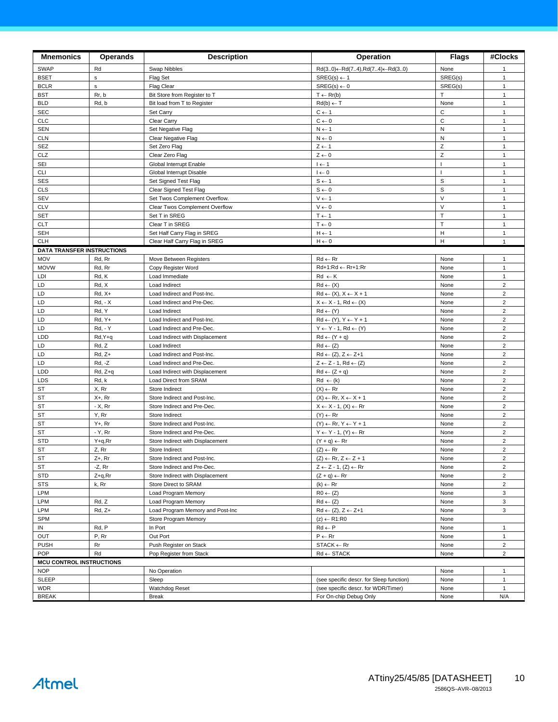| <b>Mnemonics</b>                  | <b>Operands</b>    | <b>Description</b>                                        | Operation                                                                           | <b>Flags</b> | #Clocks                          |
|-----------------------------------|--------------------|-----------------------------------------------------------|-------------------------------------------------------------------------------------|--------------|----------------------------------|
| SWAP                              | Rd                 | Swap Nibbles                                              | $Rd(30) \leftarrow Rd(74), Rd(74) \leftarrow Rd(30)$                                | None         | $\mathbf{1}$                     |
| <b>BSET</b>                       | $\mathsf{s}$       | Flag Set                                                  | $SREG(s) \leftarrow 1$                                                              | SREG(s)      | $\mathbf{1}$                     |
| <b>BCLR</b>                       | $\sf s$            | <b>Flag Clear</b>                                         | $SREG(s) \leftarrow 0$                                                              | SREG(s)      | $\mathbf{1}$                     |
| <b>BST</b>                        | Rr, b              | Bit Store from Register to T                              | $T \leftarrow Rr(b)$                                                                | T.           | $\mathbf{1}$                     |
| <b>BLD</b>                        | Rd, b              | Bit load from T to Register                               | $Rd(b) \leftarrow T$                                                                | None         | $\mathbf{1}$                     |
| <b>SEC</b>                        |                    | Set Carry                                                 | $C \leftarrow 1$                                                                    | $\mathbf C$  | $\mathbf{1}$                     |
| <b>CLC</b>                        |                    | Clear Carry                                               | $C \leftarrow 0$                                                                    | $\mathsf C$  | $\mathbf{1}$                     |
| <b>SEN</b>                        |                    | Set Negative Flag                                         | $N \leftarrow 1$                                                                    | N            | $\mathbf{1}$                     |
| <b>CLN</b>                        |                    | Clear Negative Flag                                       | $N \leftarrow 0$                                                                    | ${\sf N}$    | $\mathbf{1}$                     |
| <b>SEZ</b>                        |                    | Set Zero Flag                                             | $Z \leftarrow 1$                                                                    | Z            | $\mathbf{1}$                     |
| CLZ                               |                    | Clear Zero Flag                                           | $Z \leftarrow 0$                                                                    | $\mathsf Z$  | $\mathbf{1}$                     |
| SEI                               |                    | Global Interrupt Enable                                   | $l \leftarrow 1$                                                                    | $\mathbf{I}$ | $\mathbf{1}$                     |
| <b>CLI</b>                        |                    | Global Interrupt Disable                                  | $I \leftarrow 0$                                                                    | т            | $\mathbf{1}$                     |
| <b>SES</b>                        |                    | Set Signed Test Flag                                      | $S \leftarrow 1$                                                                    | S            | $\mathbf{1}$                     |
| <b>CLS</b>                        |                    | Clear Signed Test Flag                                    | $S \leftarrow 0$                                                                    | S            | $\mathbf{1}$                     |
| SEV                               |                    | Set Twos Complement Overflow.                             | $V \leftarrow 1$                                                                    | $\vee$       | $\mathbf{1}$                     |
| <b>CLV</b>                        |                    | Clear Twos Complement Overflow                            | $V \leftarrow 0$                                                                    | $\vee$       | $\mathbf{1}$                     |
| <b>SET</b>                        |                    | Set T in SREG                                             | $T \leftarrow 1$                                                                    | T.           | $\mathbf{1}$                     |
| <b>CLT</b>                        |                    | Clear T in SREG                                           | $T \leftarrow 0$                                                                    | T            | $\mathbf{1}$                     |
| <b>SEH</b>                        |                    | Set Half Carry Flag in SREG                               | $H \leftarrow 1$                                                                    | н            | $\mathbf{1}$                     |
| <b>CLH</b>                        |                    | Clear Half Carry Flag in SREG                             | $H \leftarrow 0$                                                                    | H            | $\mathbf{1}$                     |
| <b>DATA TRANSFER INSTRUCTIONS</b> |                    |                                                           |                                                                                     |              |                                  |
| MOV                               | Rd, Rr             | Move Between Registers                                    | $Rd \leftarrow Rr$                                                                  | None         | $\mathbf{1}$                     |
| <b>MOVW</b>                       | Rd, Rr             | Copy Register Word                                        | Rd+1:Rd ← Rr+1:Rr                                                                   | None         | $\mathbf{1}$                     |
| LDI                               | Rd, K              | Load Immediate                                            | $Rd \leftarrow K$                                                                   | None         | $\mathbf{1}$                     |
| LD                                | Rd, X              | Load Indirect                                             | $Rd \leftarrow (X)$                                                                 | None         | $\overline{\mathbf{c}}$          |
| LD                                | $Rd, X+$           | Load Indirect and Post-Inc.                               | $Rd \leftarrow (X), X \leftarrow X + 1$                                             | None         | $\overline{c}$                   |
| LD                                | <b>Rd, - X</b>     | Load Indirect and Pre-Dec.                                | $X \leftarrow X - 1$ , Rd $\leftarrow (X)$                                          | None         | $\overline{\mathbf{c}}$          |
| LD                                | Rd, Y              | Load Indirect                                             | $Rd \leftarrow (Y)$                                                                 | None         | $\overline{2}$                   |
| LD                                | Rd, Y+             | Load Indirect and Post-Inc.                               | $Rd \leftarrow (Y), Y \leftarrow Y + 1$                                             | None         | $\overline{2}$                   |
| LD                                | <b>Rd, - Y</b>     | Load Indirect and Pre-Dec.                                | $Y \leftarrow Y - 1$ , Rd $\leftarrow (Y)$                                          | None         | $\overline{\mathbf{c}}$          |
| LDD                               | Rd, Y+q            | Load Indirect with Displacement                           | $Rd \leftarrow (Y + q)$                                                             | None         | $\overline{2}$<br>$\overline{c}$ |
| LD<br>LD                          | Rd, Z              | Load Indirect                                             | $Rd \leftarrow (Z)$                                                                 | None         | $\overline{2}$                   |
| LD                                | $Rd, Z+$<br>Rd, -Z | Load Indirect and Post-Inc.<br>Load Indirect and Pre-Dec. | $Rd \leftarrow (Z), Z \leftarrow Z+1$<br>$Z \leftarrow Z - 1$ , Rd $\leftarrow (Z)$ | None<br>None | $\overline{2}$                   |
| LDD                               | Rd, Z+q            | Load Indirect with Displacement                           | $Rd \leftarrow (Z + q)$                                                             | None         | $\overline{2}$                   |
| LDS                               | Rd, k              | Load Direct from SRAM                                     | $Rd \leftarrow (k)$                                                                 | None         | $\mathbf 2$                      |
| ST                                | X, Rr              | Store Indirect                                            | $(X) \leftarrow Rr$                                                                 | None         | $\overline{\mathbf{c}}$          |
| ST                                | $X +$ , Rr         | Store Indirect and Post-Inc.                              | $(X) \leftarrow \mathsf{Rr}, X \leftarrow X + 1$                                    | None         | $\overline{2}$                   |
| ST                                | - X, Rr            | Store Indirect and Pre-Dec.                               | $X \leftarrow X - 1$ , $(X) \leftarrow Rr$                                          | None         | $\overline{c}$                   |
| ST                                | Y, Rr              | Store Indirect                                            | $(Y) \leftarrow Rr$                                                                 | None         | $\overline{2}$                   |
| <b>ST</b>                         | $Y +$ , Rr         | Store Indirect and Post-Inc.                              | $(Y) \leftarrow Rr, Y \leftarrow Y + 1$                                             | None         | $\overline{2}$                   |
| ST                                | - Y, Rr            | Store Indirect and Pre-Dec.                               | $Y \leftarrow Y - 1$ , $(Y) \leftarrow Rr$                                          | None         | $\overline{\mathbf{c}}$          |
| <b>STD</b>                        | Y+q,Rr             | Store Indirect with Displacement                          | $(Y + q) \leftarrow Rr$                                                             | None         | $\overline{\mathbf{c}}$          |
| <b>ST</b>                         | Z, Rr              | Store Indirect                                            | $(Z) \leftarrow \mathsf{Rr}$                                                        | None         | $\overline{c}$                   |
| $\texttt{ST}$                     | Z+, Rr             | Store Indirect and Post-Inc.                              | $(Z) \leftarrow \mathsf{Rr}, Z \leftarrow Z + 1$                                    | None         | $\overline{c}$                   |
| ST                                | -Z, Rr             | Store Indirect and Pre-Dec.                               | $Z \leftarrow Z - 1$ , $(Z) \leftarrow Rr$                                          | None         | $\overline{2}$                   |
| STD                               | Z+q,Rr             | Store Indirect with Displacement                          | $(Z + q) \leftarrow Rr$                                                             | None         | $\overline{2}$                   |
| <b>STS</b>                        | k, Rr              | Store Direct to SRAM                                      | $(k) \leftarrow Rr$                                                                 | None         | $\overline{\mathbf{c}}$          |
| LPM                               |                    | Load Program Memory                                       | $R0 \leftarrow (Z)$                                                                 | None         | 3                                |
| LPM                               | Rd, Z              | Load Program Memory                                       | $Rd \leftarrow (Z)$                                                                 | None         | 3                                |
| LPM                               | Rd, Z+             | Load Program Memory and Post-Inc                          | $Rd \leftarrow (Z), Z \leftarrow Z+1$                                               | None         | 3                                |
| <b>SPM</b>                        |                    | <b>Store Program Memory</b>                               | $(z) \leftarrow R1:R0$                                                              | None         |                                  |
| IN                                | Rd, P              | In Port                                                   | $Rd \leftarrow P$                                                                   | None         | $\mathbf{1}$                     |
| OUT                               | P, Rr              | Out Port                                                  | $P \leftarrow Rr$                                                                   | None         | $\mathbf{1}$                     |
| <b>PUSH</b>                       | Rr                 | Push Register on Stack                                    | $STACK \leftarrow Rr$                                                               | None         | $\overline{2}$                   |
| POP                               | Rd                 | Pop Register from Stack                                   | $\mathsf{Rd} \leftarrow \mathsf{STACK}$                                             | None         | $\overline{2}$                   |
| <b>MCU CONTROL INSTRUCTIONS</b>   |                    |                                                           |                                                                                     |              |                                  |
| <b>NOP</b>                        |                    | No Operation                                              |                                                                                     | None         | $\mathbf{1}$                     |
| SLEEP                             |                    | Sleep                                                     | (see specific descr. for Sleep function)                                            | None         | $\mathbf{1}$                     |
| <b>WDR</b>                        |                    | Watchdog Reset                                            | (see specific descr. for WDR/Timer)                                                 | None         | $\mathbf{1}$                     |
| <b>BREAK</b>                      |                    | Break                                                     | For On-chip Debug Only                                                              | None         | N/A                              |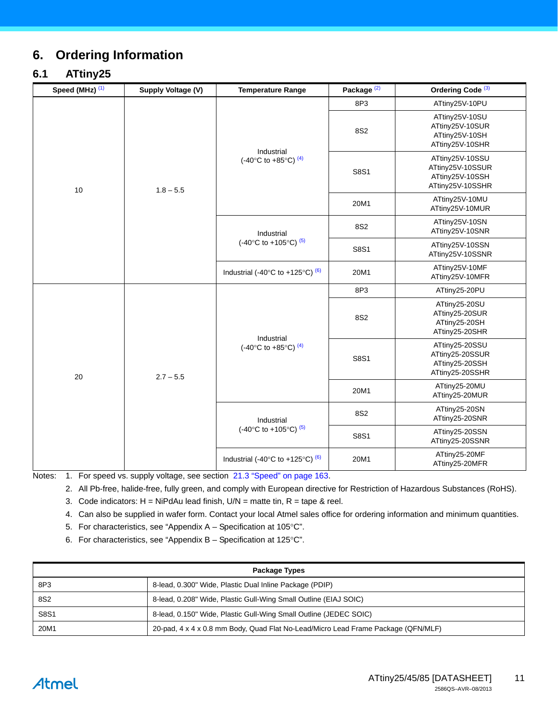# <span id="page-10-7"></span>**6. Ordering Information**

### <span id="page-10-6"></span>**6.1 ATtiny25**

| Speed (MHz) <sup>(1)</sup> | Supply Voltage (V) | <b>Temperature Range</b>                                   | Package <sup>(2)</sup> | Ordering Code <sup>(3)</sup>                                               |
|----------------------------|--------------------|------------------------------------------------------------|------------------------|----------------------------------------------------------------------------|
|                            | $1.8 - 5.5$        | Industrial<br>(-40°C to +85°C) $(4)$                       | 8P3                    | ATtiny25V-10PU                                                             |
| 10                         |                    |                                                            | 8S2                    | ATtiny25V-10SU<br>ATtiny25V-10SUR<br>ATtiny25V-10SH<br>ATtiny25V-10SHR     |
|                            |                    |                                                            | S8S1                   | ATtiny25V-10SSU<br>ATtiny25V-10SSUR<br>ATtiny25V-10SSH<br>ATtiny25V-10SSHR |
|                            |                    |                                                            | 20M1                   | ATtiny25V-10MU<br>ATtiny25V-10MUR                                          |
|                            |                    | Industrial                                                 | 8S2                    | ATtiny25V-10SN<br>ATtiny25V-10SNR                                          |
|                            |                    | (-40°C to +105°C) $(5)$                                    | S8S1                   | ATtiny25V-10SSN<br>ATtiny25V-10SSNR                                        |
|                            |                    | Industrial (-40 $\degree$ C to +125 $\degree$ C) $\degree$ | 20M1                   | ATtiny25V-10MF<br>ATtiny25V-10MFR                                          |
| 20                         | $2.7 - 5.5$        | Industrial<br>(-40°C to +85°C) $(4)$                       | 8P3                    | ATtiny25-20PU                                                              |
|                            |                    |                                                            | 8S2                    | ATtiny25-20SU<br>ATtiny25-20SUR<br>ATtiny25-20SH<br>ATtiny25-20SHR         |
|                            |                    |                                                            | S8S1                   | ATtiny25-20SSU<br>ATtiny25-20SSUR<br>ATtiny25-20SSH<br>ATtiny25-20SSHR     |
|                            |                    |                                                            | 20M1                   | ATtiny25-20MU<br>ATtiny25-20MUR                                            |
|                            |                    | Industrial                                                 | 8S2                    | ATtiny25-20SN<br>ATtiny25-20SNR                                            |
|                            |                    | (-40°C to +105°C) $(5)$                                    | S8S1                   | ATtiny25-20SSN<br>ATtiny25-20SSNR                                          |
|                            |                    | Industrial (-40 $\degree$ C to +125 $\degree$ C) $\degree$ | 20M1                   | ATtiny25-20MF<br>ATtiny25-20MFR                                            |

<span id="page-10-2"></span><span id="page-10-1"></span><span id="page-10-0"></span>Notes: 1. For speed vs. supply voltage, see section 21.3 "Speed" on page 163.

2. All Pb-free, halide-free, fully green, and comply with European directive for Restriction of Hazardous Substances (RoHS).

3. Code indicators:  $H = NiPdAu$  lead finish,  $U/N =$  matte tin,  $R =$  tape & reel.

<span id="page-10-3"></span>4. Can also be supplied in wafer form. Contact your local Atmel sales office for ordering information and minimum quantities.

<span id="page-10-4"></span>5. For characteristics, see "Appendix  $A -$  Specification at 105 $^{\circ}$ C".

6. For characteristics, see "Appendix  $B -$  Specification at 125 $\degree$ C".

<span id="page-10-5"></span>

| <b>Package Types</b> |                                                                                   |  |
|----------------------|-----------------------------------------------------------------------------------|--|
| 8P3                  | 8-lead, 0.300" Wide, Plastic Dual Inline Package (PDIP)                           |  |
| 8S <sub>2</sub>      | 8-lead, 0.208" Wide, Plastic Gull-Wing Small Outline (EIAJ SOIC)                  |  |
| <b>S8S1</b>          | 8-lead, 0.150" Wide, Plastic Gull-Wing Small Outline (JEDEC SOIC)                 |  |
| 20M1                 | 20-pad, 4 x 4 x 0.8 mm Body, Quad Flat No-Lead/Micro Lead Frame Package (QFN/MLF) |  |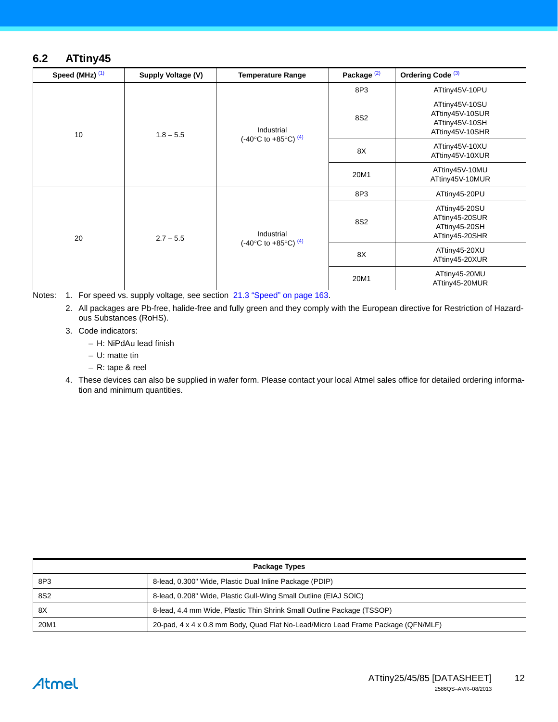### <span id="page-11-4"></span>**6.2 ATtiny45**

| Speed (MHz) (1) | Supply Voltage (V) | <b>Temperature Range</b>                      | Package <sup>(2)</sup> | Ordering Code <sup>(3)</sup>                                           |
|-----------------|--------------------|-----------------------------------------------|------------------------|------------------------------------------------------------------------|
|                 | $1.8 - 5.5$        | Industrial<br>(-40°C to +85°C) <sup>(4)</sup> | 8P3                    | ATtiny45V-10PU                                                         |
| 10              |                    |                                               | 8S2                    | ATtiny45V-10SU<br>ATtiny45V-10SUR<br>ATtiny45V-10SH<br>ATtiny45V-10SHR |
|                 |                    |                                               | 8X                     | ATtiny45V-10XU<br>ATtiny45V-10XUR                                      |
|                 |                    |                                               | 20M1                   | ATtiny45V-10MU<br>ATtiny45V-10MUR                                      |
| 20              | $2.7 - 5.5$        | Industrial<br>(-40°C to +85°C) <sup>(4)</sup> | 8P3                    | ATtiny45-20PU                                                          |
|                 |                    |                                               | 8S2                    | ATtiny45-20SU<br>ATtiny45-20SUR<br>ATtiny45-20SH<br>ATtiny45-20SHR     |
|                 |                    |                                               | 8X                     | ATtiny45-20XU<br>ATtiny45-20XUR                                        |
|                 |                    |                                               | 20M1                   | ATtiny45-20MU<br>ATtiny45-20MUR                                        |

<span id="page-11-1"></span><span id="page-11-0"></span>Notes: 1. For speed vs. supply voltage, see section 21.3 "Speed" on page 163.

2. All packages are Pb-free, halide-free and fully green and they comply with the European directive for Restriction of Hazardous Substances (RoHS).

<span id="page-11-2"></span>3. Code indicators:

– H: NiPdAu lead finish

– U: matte tin

– R: tape & reel

<span id="page-11-3"></span>4. These devices can also be supplied in wafer form. Please contact your local Atmel sales office for detailed ordering information and minimum quantities.

| <b>Package Types</b> |                                                                                   |  |
|----------------------|-----------------------------------------------------------------------------------|--|
| 8P3                  | 8-lead, 0.300" Wide, Plastic Dual Inline Package (PDIP)                           |  |
| 8S <sub>2</sub>      | 8-lead, 0.208" Wide, Plastic Gull-Wing Small Outline (EIAJ SOIC)                  |  |
| 8X                   | 8-lead, 4.4 mm Wide, Plastic Thin Shrink Small Outline Package (TSSOP)            |  |
| 20M1                 | 20-pad, 4 x 4 x 0.8 mm Body, Quad Flat No-Lead/Micro Lead Frame Package (QFN/MLF) |  |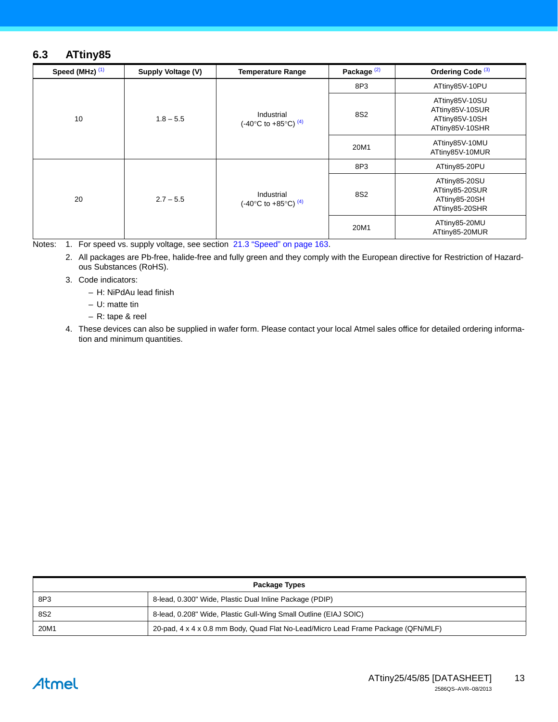### <span id="page-12-4"></span>**6.3 ATtiny85**

| Speed (MHz) (1) | Supply Voltage (V) | <b>Temperature Range</b>                      | Package <sup>(2)</sup> | Ordering Code <sup>(3)</sup>                                           |
|-----------------|--------------------|-----------------------------------------------|------------------------|------------------------------------------------------------------------|
|                 | $1.8 - 5.5$        | Industrial<br>(-40°C to +85°C) $(4)$          | 8P3                    | ATtiny85V-10PU                                                         |
| 10              |                    |                                               | 8S2                    | ATtiny85V-10SU<br>ATtiny85V-10SUR<br>ATtiny85V-10SH<br>ATtiny85V-10SHR |
|                 |                    |                                               | 20M1                   | ATtiny85V-10MU<br>ATtiny85V-10MUR                                      |
| 20              | $2.7 - 5.5$        | Industrial<br>(-40°C to +85°C) <sup>(4)</sup> | 8P3                    | ATtiny85-20PU                                                          |
|                 |                    |                                               | 8S2                    | ATtiny85-20SU<br>ATtiny85-20SUR<br>ATtiny85-20SH<br>ATtiny85-20SHR     |
|                 |                    |                                               | 20M1                   | ATtiny85-20MU<br>ATtiny85-20MUR                                        |

<span id="page-12-2"></span><span id="page-12-1"></span>Notes: 1. For speed vs. supply voltage, see section 21.3 "Speed" on page 163.

2. All packages are Pb-free, halide-free and fully green and they comply with the European directive for Restriction of Hazardous Substances (RoHS).

<span id="page-12-3"></span>3. Code indicators:

– H: NiPdAu lead finish

– U: matte tin

– R: tape & reel

<span id="page-12-0"></span>4. These devices can also be supplied in wafer form. Please contact your local Atmel sales office for detailed ordering information and minimum quantities.

| <b>Package Types</b> |                                                                                   |  |
|----------------------|-----------------------------------------------------------------------------------|--|
| 8P3                  | 8-lead, 0.300" Wide, Plastic Dual Inline Package (PDIP)                           |  |
| 8S <sub>2</sub>      | 8-lead, 0.208" Wide, Plastic Gull-Wing Small Outline (EIAJ SOIC)                  |  |
| 20M1                 | 20-pad, 4 x 4 x 0.8 mm Body, Quad Flat No-Lead/Micro Lead Frame Package (QFN/MLF) |  |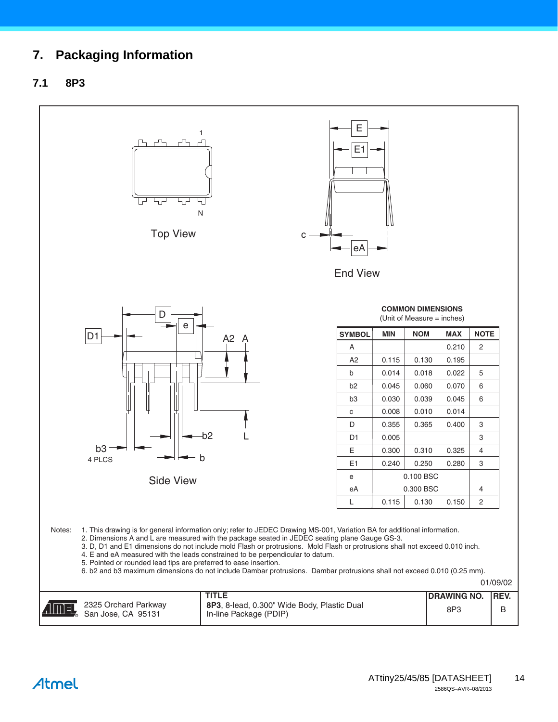# **7. Packaging Information**

#### **7.1 8P3**

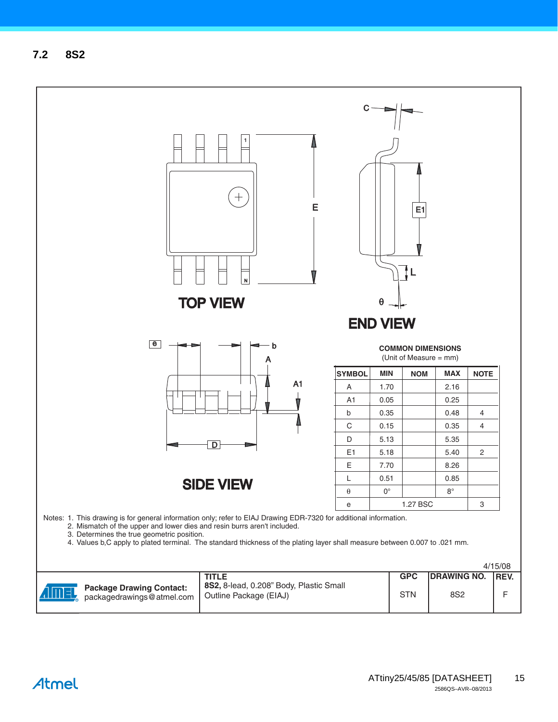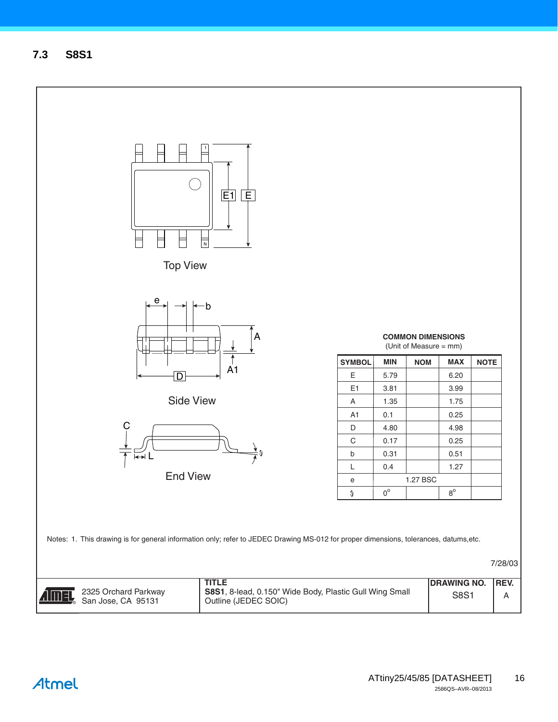<span id="page-15-0"></span>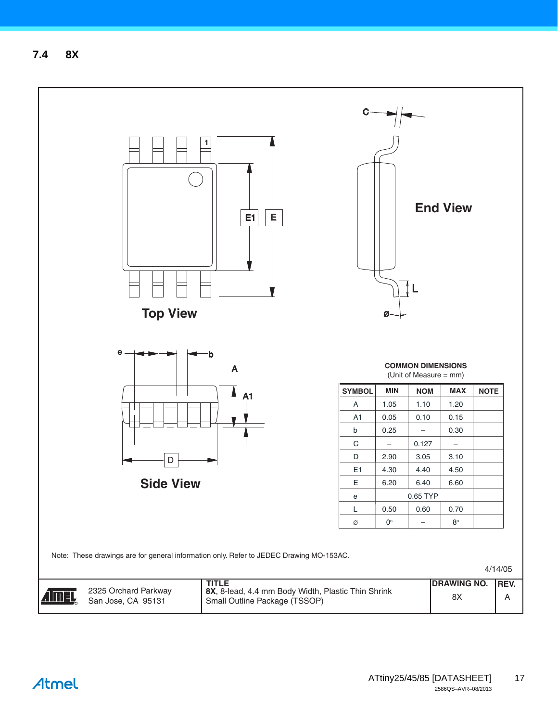<span id="page-16-0"></span>**7.4 8X**

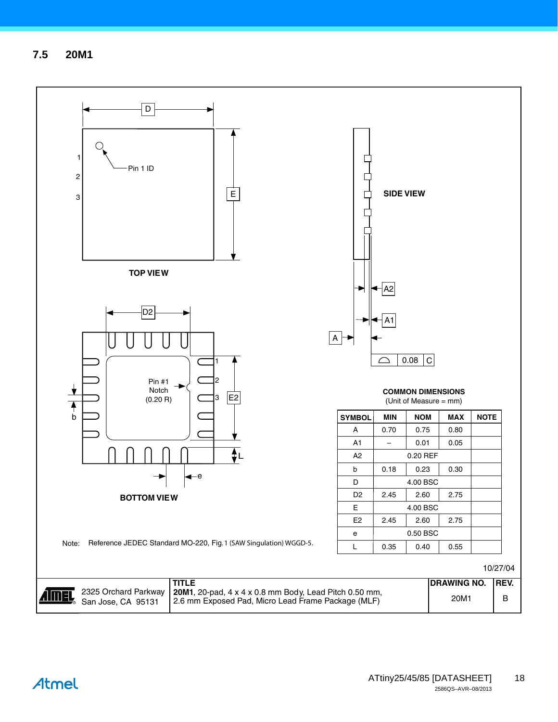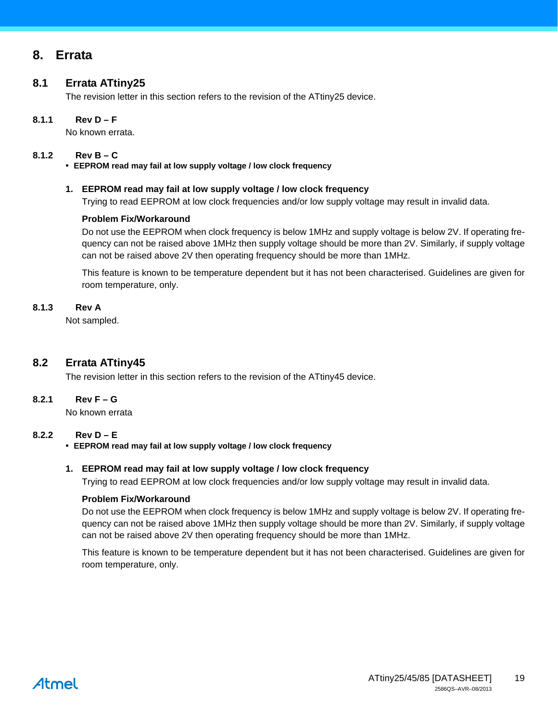### <span id="page-18-5"></span>**8. Errata**

#### <span id="page-18-3"></span>**8.1 Errata ATtiny25**

The revision letter in this section refers to the revision of the ATtiny25 device.

#### **8.1.1 Rev D – F**

No known errata.

#### **8.1.2 Rev B – C**

<span id="page-18-2"></span>• **EEPROM read may fail at low supply voltage / low clock frequency**

#### <span id="page-18-0"></span>**1. EEPROM read may fail at low supply voltage / low clock frequency**

Trying to read EEPROM at low clock frequencies and/or low supply voltage may result in invalid data.

#### **Problem Fix/Workaround**

Do not use the EEPROM when clock frequency is below 1MHz and supply voltage is below 2V. If operating frequency can not be raised above 1MHz then supply voltage should be more than 2V. Similarly, if supply voltage can not be raised above 2V then operating frequency should be more than 1MHz.

This feature is known to be temperature dependent but it has not been characterised. Guidelines are given for room temperature, only.

#### **8.1.3 Rev A**

Not sampled.

#### <span id="page-18-4"></span>**8.2 Errata ATtiny45**

The revision letter in this section refers to the revision of the ATtiny45 device.

#### **8.2.1 Rev F – G**

No known errata

#### **8.2.2 Rev D – E**

• **EEPROM read may fail at low supply voltage / low clock frequency**

#### <span id="page-18-1"></span>**1. EEPROM read may fail at low supply voltage / low clock frequency**

Trying to read EEPROM at low clock frequencies and/or low supply voltage may result in invalid data.

#### **Problem Fix/Workaround**

Do not use the EEPROM when clock frequency is below 1MHz and supply voltage is below 2V. If operating frequency can not be raised above 1MHz then supply voltage should be more than 2V. Similarly, if supply voltage can not be raised above 2V then operating frequency should be more than 1MHz.

This feature is known to be temperature dependent but it has not been characterised. Guidelines are given for room temperature, only.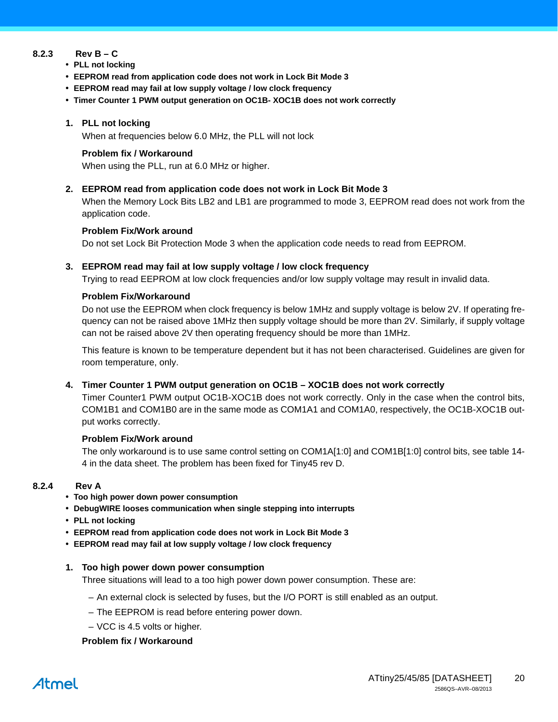#### **8.2.3 Rev B – C**

- **PLL not locking**
- **EEPROM read from application code does not work in Lock Bit Mode 3**
- **EEPROM read may fail at low supply voltage / low clock frequency**
- **Timer Counter 1 PWM output generation on OC1B- XOC1B does not work correctly**

#### **1. PLL not locking**

When at frequencies below 6.0 MHz, the PLL will not lock

#### **Problem fix / Workaround**

When using the PLL, run at 6.0 MHz or higher.

**2. EEPROM read from application code does not work in Lock Bit Mode 3**

When the Memory Lock Bits LB2 and LB1 are programmed to mode 3, EEPROM read does not work from the application code.

#### **Problem Fix/Work around**

Do not set Lock Bit Protection Mode 3 when the application code needs to read from EEPROM.

#### <span id="page-19-0"></span>**3. EEPROM read may fail at low supply voltage / low clock frequency**

Trying to read EEPROM at low clock frequencies and/or low supply voltage may result in invalid data.

#### **Problem Fix/Workaround**

Do not use the EEPROM when clock frequency is below 1MHz and supply voltage is below 2V. If operating frequency can not be raised above 1MHz then supply voltage should be more than 2V. Similarly, if supply voltage can not be raised above 2V then operating frequency should be more than 1MHz.

This feature is known to be temperature dependent but it has not been characterised. Guidelines are given for room temperature, only.

#### **4. Timer Counter 1 PWM output generation on OC1B – XOC1B does not work correctly**

Timer Counter1 PWM output OC1B-XOC1B does not work correctly. Only in the case when the control bits, COM1B1 and COM1B0 are in the same mode as COM1A1 and COM1A0, respectively, the OC1B-XOC1B output works correctly.

#### **Problem Fix/Work around**

The only workaround is to use same control setting on COM1A[1:0] and COM1B[1:0] control bits, see table 14- 4 in the data sheet. The problem has been fixed for Tiny45 rev D.

#### **8.2.4 Rev A**

- **Too high power down power consumption**
- **DebugWIRE looses communication when single stepping into interrupts**
- **PLL not locking**
- **EEPROM read from application code does not work in Lock Bit Mode 3**
- **EEPROM read may fail at low supply voltage / low clock frequency**

#### **1. Too high power down power consumption**

Three situations will lead to a too high power down power consumption. These are:

- An external clock is selected by fuses, but the I/O PORT is still enabled as an output.
- The EEPROM is read before entering power down.
- VCC is 4.5 volts or higher.

#### **Problem fix / Workaround**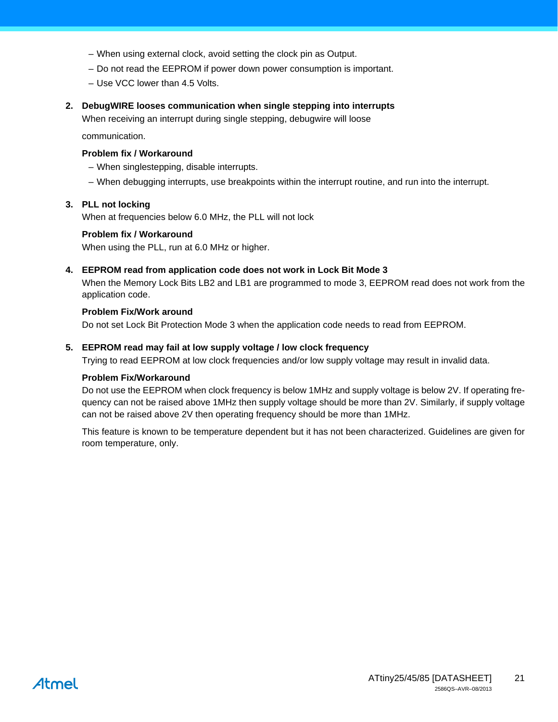- When using external clock, avoid setting the clock pin as Output.
- Do not read the EEPROM if power down power consumption is important.
- Use VCC lower than 4.5 Volts.

#### **2. DebugWIRE looses communication when single stepping into interrupts**

When receiving an interrupt during single stepping, debugwire will loose

communication.

#### **Problem fix / Workaround**

- When singlestepping, disable interrupts.
- When debugging interrupts, use breakpoints within the interrupt routine, and run into the interrupt.

#### **3. PLL not locking**

When at frequencies below 6.0 MHz, the PLL will not lock

#### **Problem fix / Workaround**

When using the PLL, run at 6.0 MHz or higher.

#### **4. EEPROM read from application code does not work in Lock Bit Mode 3**

When the Memory Lock Bits LB2 and LB1 are programmed to mode 3, EEPROM read does not work from the application code.

#### **Problem Fix/Work around**

Do not set Lock Bit Protection Mode 3 when the application code needs to read from EEPROM.

#### <span id="page-20-0"></span>**5. EEPROM read may fail at low supply voltage / low clock frequency**

Trying to read EEPROM at low clock frequencies and/or low supply voltage may result in invalid data.

#### **Problem Fix/Workaround**

Do not use the EEPROM when clock frequency is below 1MHz and supply voltage is below 2V. If operating frequency can not be raised above 1MHz then supply voltage should be more than 2V. Similarly, if supply voltage can not be raised above 2V then operating frequency should be more than 1MHz.

This feature is known to be temperature dependent but it has not been characterized. Guidelines are given for room temperature, only.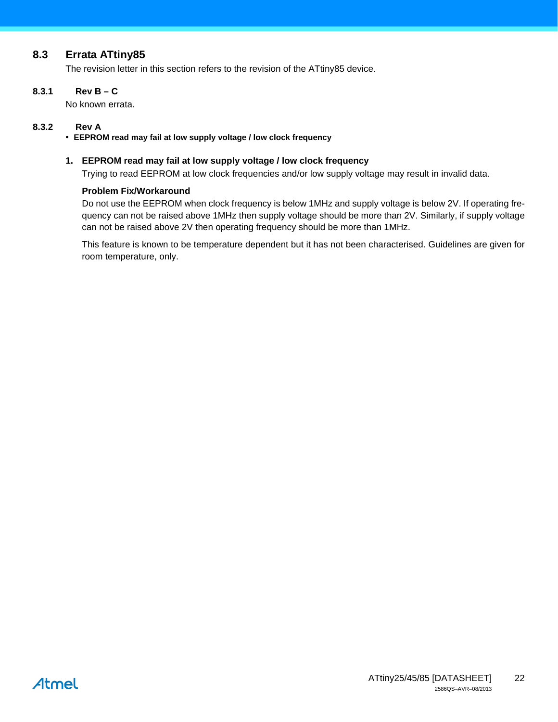#### <span id="page-21-1"></span>**8.3 Errata ATtiny85**

The revision letter in this section refers to the revision of the ATtiny85 device.

#### **8.3.1 Rev B – C**

No known errata.

#### **8.3.2 Rev A**

#### • **EEPROM read may fail at low supply voltage / low clock frequency**

#### <span id="page-21-0"></span>**1. EEPROM read may fail at low supply voltage / low clock frequency**

Trying to read EEPROM at low clock frequencies and/or low supply voltage may result in invalid data.

#### **Problem Fix/Workaround**

Do not use the EEPROM when clock frequency is below 1MHz and supply voltage is below 2V. If operating frequency can not be raised above 1MHz then supply voltage should be more than 2V. Similarly, if supply voltage can not be raised above 2V then operating frequency should be more than 1MHz.

This feature is known to be temperature dependent but it has not been characterised. Guidelines are given for room temperature, only.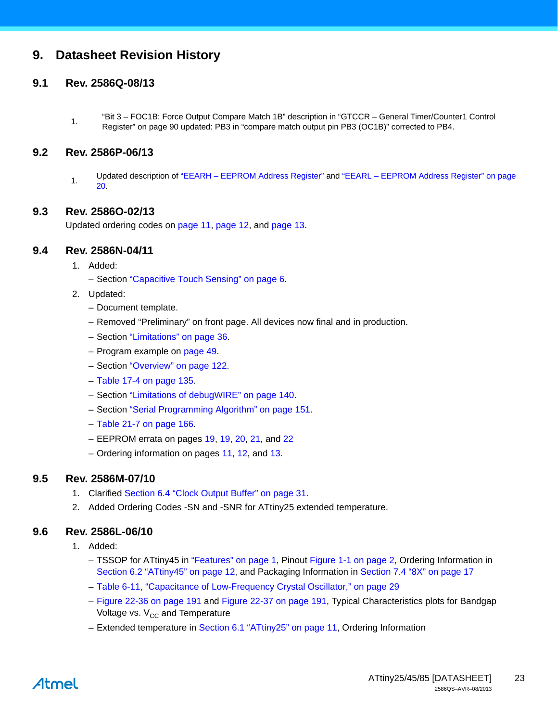### **9. Datasheet Revision History**

#### **9.1 Rev. 2586Q-08/13**

1. "Bit 3 – FOC1B: Force Output Compare Match 1B" description in "GTCCR – General Timer/Counter1 Control Register" on page 90 updated: PB3 in "compare match output pin PB3 (OC1B)" corrected to PB4.

#### **9.2 Rev. 2586P-06/13**

1. Updated description of "EEARH – EEPROM Address Register" and "EEARL – EEPROM Address Register" on page 20.

#### **9.3 Rev. 2586O-02/13**

Updated ordering codes on [page 11](#page-10-6), [page 12](#page-11-4), and [page 13](#page-12-4).

#### **9.4 Rev. 2586N-04/11**

- 1. Added:
	- Section ["Capacitive Touch Sensing" on page 6](#page-5-0).
- 2. Updated:
	- Document template.
	- Removed "Preliminary" on front page. All devices now final and in production.
	- Section "Limitations" on page 36.
	- Program example on page 49.
	- Section "Overview" on page 122.
	- Table 17-4 on page 135.
	- Section "Limitations of debugWIRE" on page 140.
	- Section "Serial Programming Algorithm" on page 151.
	- Table 21-7 on page 166.
	- EEPROM errata on pages [19,](#page-18-0) [19,](#page-18-1) [20](#page-19-0), [21,](#page-20-0) and [22](#page-21-0)
	- Ordering information on pages [11,](#page-10-6) [12,](#page-11-4) and [13.](#page-12-4)

#### **9.5 Rev. 2586M-07/10**

- 1. Clarified Section 6.4 "Clock Output Buffer" on page 31.
- 2. Added Ordering Codes -SN and -SNR for ATtiny25 extended temperature.

#### **9.6 Rev. 2586L-06/10**

- 1. Added:
	- TSSOP for ATtiny45 in ["Features" on page 1](#page-0-0), Pinout [Figure 1-1 on page 2,](#page-1-0) Ordering Information in [Section 6.2 "ATtiny45" on page 12,](#page-11-4) and Packaging Information in [Section 7.4 "8X" on page 17](#page-16-0)
	- Table 6-11, "Capacitance of Low-Frequency Crystal Oscillator," on page 29
	- Figure 22-36 on page 191 and Figure 22-37 on page 191, Typical Characteristics plots for Bandgap Voltage vs.  $V_{CC}$  and Temperature
	- Extended temperature in [Section 6.1 "ATtiny25" on page 11](#page-10-6), Ordering Information

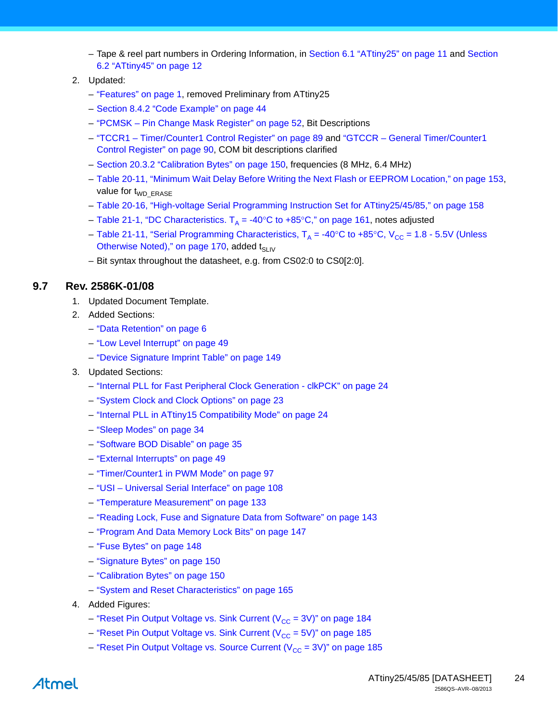- Tape & reel part numbers in Ordering Information, in [Section 6.1 "ATtiny25" on page 11](#page-10-6) and [Section](#page-11-4)  [6.2 "ATtiny45" on page 12](#page-11-4)
- 2. Updated:
	- ["Features" on page 1,](#page-0-0) removed Preliminary from ATtiny25
	- Section 8.4.2 "Code Example" on page 44
	- "PCMSK Pin Change Mask Register" on page 52, Bit Descriptions
	- "TCCR1 Timer/Counter1 Control Register" on page 89 and "GTCCR General Timer/Counter1 Control Register" on page 90, COM bit descriptions clarified
	- Section 20.3.2 "Calibration Bytes" on page 150, frequencies (8 MHz, 6.4 MHz)
	- Table 20-11, "Minimum Wait Delay Before Writing the Next Flash or EEPROM Location," on page 153, value for  $t_{WD}$   $_{\text{FRASE}}$
	- Table 20-16, "High-voltage Serial Programming Instruction Set for ATtiny25/45/85," on page 158
	- Table 21-1, "DC Characteristics.  $T_A = -40^\circ \text{C}$  to  $+85^\circ \text{C}$ ," on page 161, notes adjusted
	- Table 21-11, "Serial Programming Characteristics,  $T_A = -40^{\circ}C$  to  $+85^{\circ}C$ ,  $V_{CC} = 1.8 5.5V$  (Unless Otherwise Noted)," on page 170, added  $t_{\text{SUV}}$
	- Bit syntax throughout the datasheet, e.g. from CS02:0 to CS0[2:0].

#### **9.7 Rev. 2586K-01/08**

- 1. Updated Document Template.
- 2. Added Sections:
	- ["Data Retention" on page 6](#page-5-1)
	- "Low Level Interrupt" on page 49
	- "Device Signature Imprint Table" on page 149
- 3. Updated Sections:
	- "Internal PLL for Fast Peripheral Clock Generation clkPCK" on page 24
	- "System Clock and Clock Options" on page 23
	- "Internal PLL in ATtiny15 Compatibility Mode" on page 24
	- "Sleep Modes" on page 34
	- "Software BOD Disable" on page 35
	- "External Interrupts" on page 49
	- "Timer/Counter1 in PWM Mode" on page 97
	- "USI Universal Serial Interface" on page 108
	- "Temperature Measurement" on page 133
	- "Reading Lock, Fuse and Signature Data from Software" on page 143
	- "Program And Data Memory Lock Bits" on page 147
	- "Fuse Bytes" on page 148
	- "Signature Bytes" on page 150
	- "Calibration Bytes" on page 150
	- "System and Reset Characteristics" on page 165
- 4. Added Figures:
	- "Reset Pin Output Voltage vs. Sink Current ( $V_{\text{CC}}$  = 3V)" on page 184
	- "Reset Pin Output Voltage vs. Sink Current ( $V_{CC}$  = 5V)" on page 185
	- "Reset Pin Output Voltage vs. Source Current  $(V_{CC} = 3V)$ " on page 185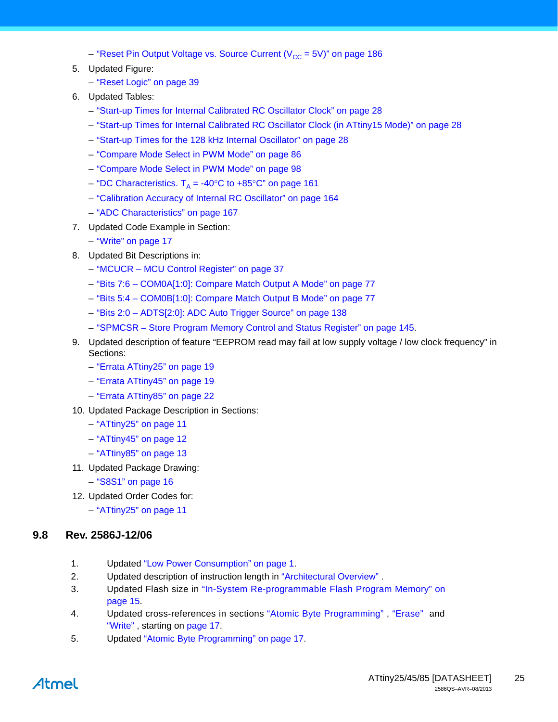– "Reset Pin Output Voltage vs. Source Current  $(V_{CC} = 5V)$ " on page 186

- 5. Updated Figure:
	- "Reset Logic" on page 39
- 6. Updated Tables:
	- "Start-up Times for Internal Calibrated RC Oscillator Clock" on page 28
	- "Start-up Times for Internal Calibrated RC Oscillator Clock (in ATtiny15 Mode)" on page 28
	- "Start-up Times for the 128 kHz Internal Oscillator" on page 28
	- "Compare Mode Select in PWM Mode" on page 86
	- "Compare Mode Select in PWM Mode" on page 98
	- "DC Characteristics.  $T_A = -40^{\circ}$ C to  $+85^{\circ}$ C" on page 161
	- "Calibration Accuracy of Internal RC Oscillator" on page 164
	- "ADC Characteristics" on page 167
- 7. Updated Code Example in Section:
	- "Write" on page 17
- 8. Updated Bit Descriptions in:
	- "MCUCR MCU Control Register" on page 37
	- "Bits 7:6 COM0A[1:0]: Compare Match Output A Mode" on page 77
	- "Bits 5:4 COM0B[1:0]: Compare Match Output B Mode" on page 77
	- "Bits 2:0 ADTS[2:0]: ADC Auto Trigger Source" on page 138
	- "SPMCSR Store Program Memory Control and Status Register" on page 145.
- 9. Updated description of feature ["EEPROM read may fail at low supply voltage / low clock frequency"](#page-18-2) in Sections:
	- ["Errata ATtiny25" on page 19](#page-18-3)
	- ["Errata ATtiny45" on page 19](#page-18-4)
	- ["Errata ATtiny85" on page 22](#page-21-1)
- 10. Updated Package Description in Sections:
	- ["ATtiny25" on page 11](#page-10-6)
	- ["ATtiny45" on page 12](#page-11-4)
	- ["ATtiny85" on page 13](#page-12-4)
- 11. Updated Package Drawing:
	- ["S8S1" on page 16](#page-15-0)
- 12. Updated Order Codes for:
	- ["ATtiny25" on page 11](#page-10-6)

#### **9.8 Rev. 2586J-12/06**

- 1. Updated ["Low Power Consumption" on page 1.](#page-0-1)
- 2. Updated description of instruction length in "Architectural Overview".
- 3. Updated Flash size in "In-System Re-programmable Flash Program Memory" on page 15.
- 4. Updated cross-references in sections "Atomic Byte Programming" , "Erase" and "Write" , starting on page 17.
- 5. Updated "Atomic Byte Programming" on page 17.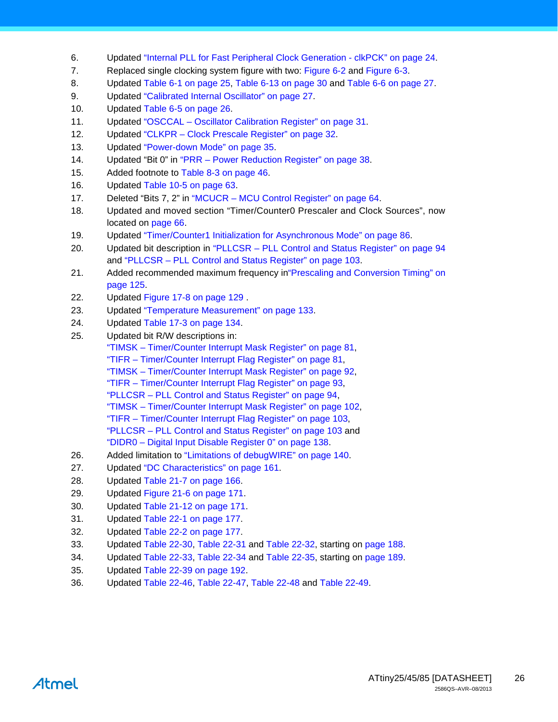- 6. Updated "Internal PLL for Fast Peripheral Clock Generation clkPCK" on page 24.
- 7. Replaced single clocking system figure with two: Figure 6-2 and Figure 6-3.
- 8. Updated Table 6-1 on page 25, Table 6-13 on page 30 and Table 6-6 on page 27.
- 9. Updated "Calibrated Internal Oscillator" on page 27.
- 10. Updated Table 6-5 on page 26.
- 11. Updated "OSCCAL Oscillator Calibration Register" on page 31.
- 12. Updated "CLKPR Clock Prescale Register" on page 32.
- 13. Updated "Power-down Mode" on page 35.
- 14. Updated "Bit 0" in "PRR Power Reduction Register" on page 38.
- 15. Added footnote to Table 8-3 on page 46.
- 16. Updated Table 10-5 on page 63.
- 17. Deleted "Bits 7, 2" in "MCUCR MCU Control Register" on page 64.
- 18. Updated and moved section "Timer/Counter0 Prescaler and Clock Sources", now located on page 66.
- 19. Updated "Timer/Counter1 Initialization for Asynchronous Mode" on page 86.
- 20. Updated bit description in "PLLCSR PLL Control and Status Register" on page 94 and "PLLCSR – PLL Control and Status Register" on page 103.
- 21. Added recommended maximum frequency in"Prescaling and Conversion Timing" on page 125.
- 22. Updated Figure 17-8 on page 129 .
- 23. Updated "Temperature Measurement" on page 133.
- 24. Updated Table 17-3 on page 134.
- 25. Updated bit R/W descriptions in: "TIMSK – Timer/Counter Interrupt Mask Register" on page 81, "TIFR – Timer/Counter Interrupt Flag Register" on page 81, "TIMSK – Timer/Counter Interrupt Mask Register" on page 92, "TIFR – Timer/Counter Interrupt Flag Register" on page 93, "PLLCSR – PLL Control and Status Register" on page 94, "TIMSK – Timer/Counter Interrupt Mask Register" on page 102, "TIFR – Timer/Counter Interrupt Flag Register" on page 103, "PLLCSR – PLL Control and Status Register" on page 103 and "DIDR0 – Digital Input Disable Register 0" on page 138.
- 26. Added limitation to "Limitations of debugWIRE" on page 140.
- 27. Updated "DC Characteristics" on page 161.
- 28. Updated Table 21-7 on page 166.
- 29. Updated Figure 21-6 on page 171.
- 30. Updated Table 21-12 on page 171.
- 31. Updated Table 22-1 on page 177.
- 32. Updated Table 22-2 on page 177.
- 33. Updated Table 22-30, Table 22-31 and Table 22-32, starting on page 188.
- 34. Updated Table 22-33, Table 22-34 and Table 22-35, starting on page 189.
- 35. Updated Table 22-39 on page 192.
- 36. Updated Table 22-46, Table 22-47, Table 22-48 and Table 22-49.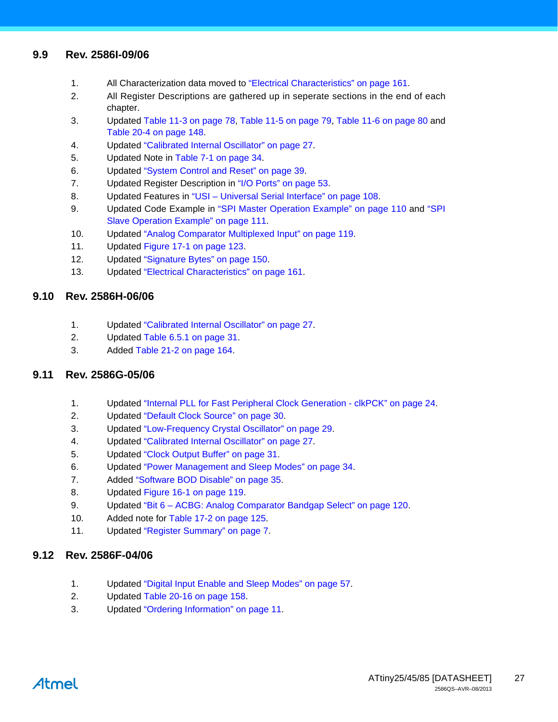#### **9.9 Rev. 2586I-09/06**

- 1. All Characterization data moved to "Electrical Characteristics" on page 161.
- 2. All Register Descriptions are gathered up in seperate sections in the end of each chapter.
- 3. Updated Table 11-3 on page 78, Table 11-5 on page 79, Table 11-6 on page 80 and Table 20-4 on page 148.
- 4. Updated "Calibrated Internal Oscillator" on page 27.
- 5. Updated Note in Table 7-1 on page 34.
- 6. Updated "System Control and Reset" on page 39.
- 7. Updated Register Description in "I/O Ports" on page 53.
- 8. Updated Features in "USI Universal Serial Interface" on page 108.
- 9. Updated Code Example in "SPI Master Operation Example" on page 110 and "SPI Slave Operation Example" on page 111.
- 10. Updated "Analog Comparator Multiplexed Input" on page 119.
- 11. Updated Figure 17-1 on page 123.
- 12. Updated "Signature Bytes" on page 150.
- 13. Updated "Electrical Characteristics" on page 161.

#### **9.10 Rev. 2586H-06/06**

- 1. Updated "Calibrated Internal Oscillator" on page 27.
- 2. Updated Table 6.5.1 on page 31.
- 3. Added Table 21-2 on page 164.

#### **9.11 Rev. 2586G-05/06**

- 1. Updated "Internal PLL for Fast Peripheral Clock Generation clkPCK" on page 24.
- 2. Updated "Default Clock Source" on page 30.
- 3. Updated "Low-Frequency Crystal Oscillator" on page 29.
- 4. Updated "Calibrated Internal Oscillator" on page 27.
- 5. Updated "Clock Output Buffer" on page 31.
- 6. Updated "Power Management and Sleep Modes" on page 34.
- 7. Added "Software BOD Disable" on page 35.
- 8. Updated Figure 16-1 on page 119.
- 9. Updated "Bit 6 ACBG: Analog Comparator Bandgap Select" on page 120.
- 10. Added note for Table 17-2 on page 125.
- 11. Updated ["Register Summary" on page 7.](#page-6-0)

#### **9.12 Rev. 2586F-04/06**

- 1. Updated "Digital Input Enable and Sleep Modes" on page 57.
- 2. Updated Table 20-16 on page 158.
- 3. Updated ["Ordering Information" on page 11](#page-10-7).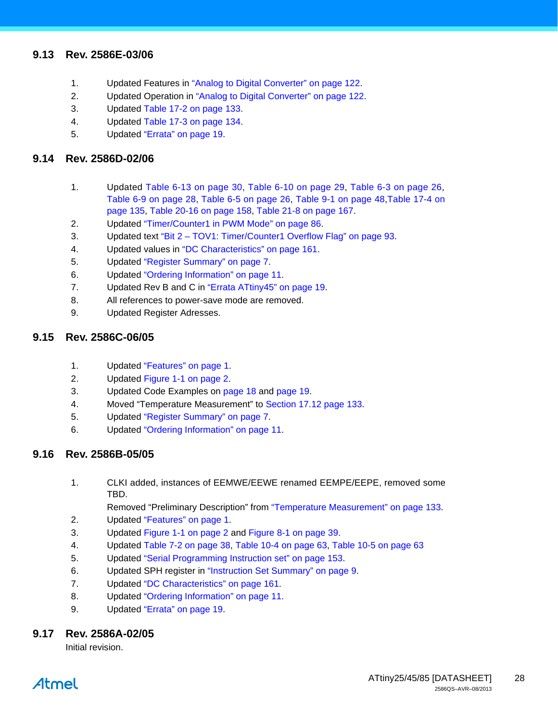#### **9.13 Rev. 2586E-03/06**

- 1. Updated Features in "Analog to Digital Converter" on page 122.
- 2. Updated Operation in "Analog to Digital Converter" on page 122.
- 3. Updated Table 17-2 on page 133.
- 4. Updated Table 17-3 on page 134.
- 5. Updated ["Errata" on page 19.](#page-18-5)

#### **9.14 Rev. 2586D-02/06**

- 1. Updated Table 6-13 on page 30, Table 6-10 on page 29, Table 6-3 on page 26, Table 6-9 on page 28, Table 6-5 on page 26, Table 9-1 on page 48,Table 17-4 on page 135, Table 20-16 on page 158, Table 21-8 on page 167.
- 2. Updated "Timer/Counter1 in PWM Mode" on page 86.
- 3. Updated text "Bit 2 TOV1: Timer/Counter1 Overflow Flag" on page 93.
- 4. Updated values in "DC Characteristics" on page 161.
- 5. Updated ["Register Summary" on page 7.](#page-6-0)
- 6. Updated ["Ordering Information" on page 11.](#page-10-7)
- 7. Updated Rev B and C in ["Errata ATtiny45" on page 19.](#page-18-4)
- 8. All references to power-save mode are removed.
- 9. Updated Register Adresses.

#### **9.15 Rev. 2586C-06/05**

- 1. Updated ["Features" on page 1](#page-0-0).
- 2. Updated [Figure 1-1 on page 2.](#page-1-0)
- 3. Updated Code Examples on page 18 and page 19.
- 4. Moved "Temperature Measurement" to Section 17.12 page 133.
- 5. Updated ["Register Summary" on page 7.](#page-6-0)
- 6. Updated ["Ordering Information" on page 11.](#page-10-7)

#### **9.16 Rev. 2586B-05/05**

1. CLKI added, instances of EEMWE/EEWE renamed EEMPE/EEPE, removed some TBD.

Removed "Preliminary Description" from "Temperature Measurement" on page 133.

- 2. Updated ["Features" on page 1](#page-0-0).
- 3. Updated [Figure 1-1 on page 2](#page-1-0) and Figure 8-1 on page 39.
- 4. Updated Table 7-2 on page 38, Table 10-4 on page 63, Table 10-5 on page 63
- 5. Updated "Serial Programming Instruction set" on page 153.
- 6. Updated SPH register in ["Instruction Set Summary" on page 9](#page-8-0).
- 7. Updated "DC Characteristics" on page 161.
- 8. Updated ["Ordering Information" on page 11](#page-10-7).
- 9. Updated ["Errata" on page 19.](#page-18-5)

#### **9.17 Rev. 2586A-02/05**

Initial revision.